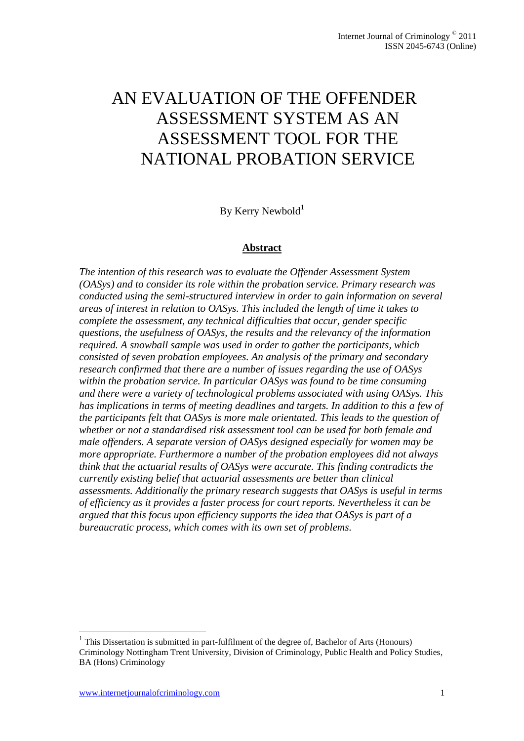# AN EVALUATION OF THE OFFENDER ASSESSMENT SYSTEM AS AN ASSESSMENT TOOL FOR THE NATIONAL PROBATION SERVICE

By Kerry Newbold<sup>1</sup>

#### **Abstract**

*The intention of this research was to evaluate the Offender Assessment System (OASys) and to consider its role within the probation service. Primary research was conducted using the semi-structured interview in order to gain information on several areas of interest in relation to OASys. This included the length of time it takes to complete the assessment, any technical difficulties that occur, gender specific questions, the usefulness of OASys, the results and the relevancy of the information required. A snowball sample was used in order to gather the participants, which consisted of seven probation employees. An analysis of the primary and secondary research confirmed that there are a number of issues regarding the use of OASys within the probation service. In particular OASys was found to be time consuming and there were a variety of technological problems associated with using OASys. This has implications in terms of meeting deadlines and targets. In addition to this a few of the participants felt that OASys is more male orientated. This leads to the question of whether or not a standardised risk assessment tool can be used for both female and male offenders. A separate version of OASys designed especially for women may be more appropriate. Furthermore a number of the probation employees did not always think that the actuarial results of OASys were accurate. This finding contradicts the currently existing belief that actuarial assessments are better than clinical assessments. Additionally the primary research suggests that OASys is useful in terms of efficiency as it provides a faster process for court reports. Nevertheless it can be argued that this focus upon efficiency supports the idea that OASys is part of a bureaucratic process, which comes with its own set of problems.*

1

<sup>&</sup>lt;sup>1</sup> This Dissertation is submitted in part-fulfilment of the degree of, Bachelor of Arts (Honours) Criminology Nottingham Trent University, Division of Criminology, Public Health and Policy Studies, BA (Hons) Criminology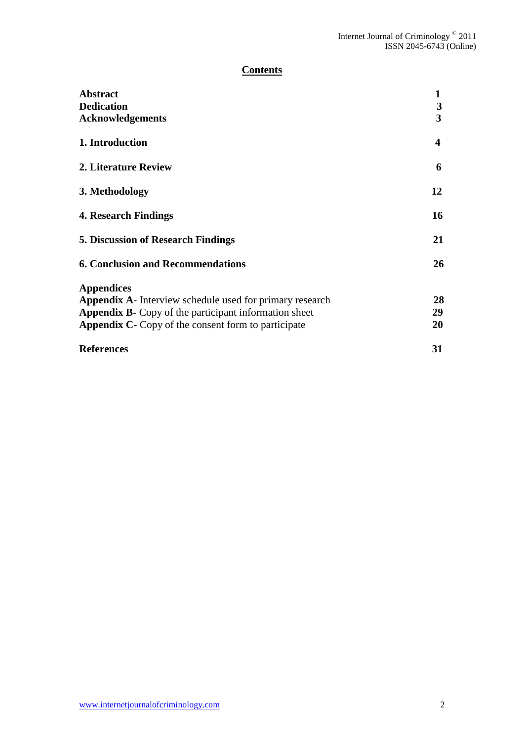# **Contents**

| <b>Abstract</b>                                                 |    |
|-----------------------------------------------------------------|----|
| <b>Dedication</b>                                               | 3  |
| <b>Acknowledgements</b>                                         | 3  |
| 1. Introduction                                                 | 4  |
| 2. Literature Review                                            | 6  |
| 3. Methodology                                                  | 12 |
| <b>4. Research Findings</b>                                     | 16 |
| <b>5. Discussion of Research Findings</b>                       | 21 |
| <b>6. Conclusion and Recommendations</b>                        | 26 |
| <b>Appendices</b>                                               |    |
| <b>Appendix A-</b> Interview schedule used for primary research | 28 |
| <b>Appendix B-</b> Copy of the participant information sheet    | 29 |
| <b>Appendix C-</b> Copy of the consent form to participate      | 20 |
| <b>References</b>                                               | 31 |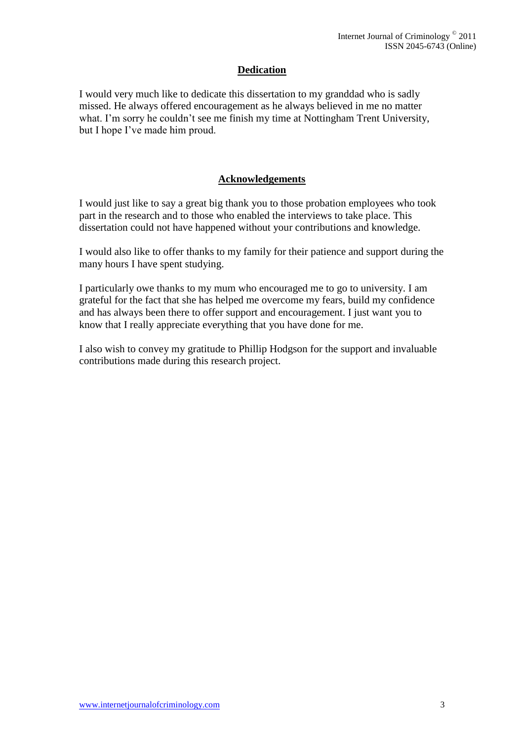# **Dedication**

I would very much like to dedicate this dissertation to my granddad who is sadly missed. He always offered encouragement as he always believed in me no matter what. I'm sorry he couldn't see me finish my time at Nottingham Trent University, but I hope I've made him proud.

## **Acknowledgements**

I would just like to say a great big thank you to those probation employees who took part in the research and to those who enabled the interviews to take place. This dissertation could not have happened without your contributions and knowledge.

I would also like to offer thanks to my family for their patience and support during the many hours I have spent studying.

I particularly owe thanks to my mum who encouraged me to go to university. I am grateful for the fact that she has helped me overcome my fears, build my confidence and has always been there to offer support and encouragement. I just want you to know that I really appreciate everything that you have done for me.

I also wish to convey my gratitude to Phillip Hodgson for the support and invaluable contributions made during this research project.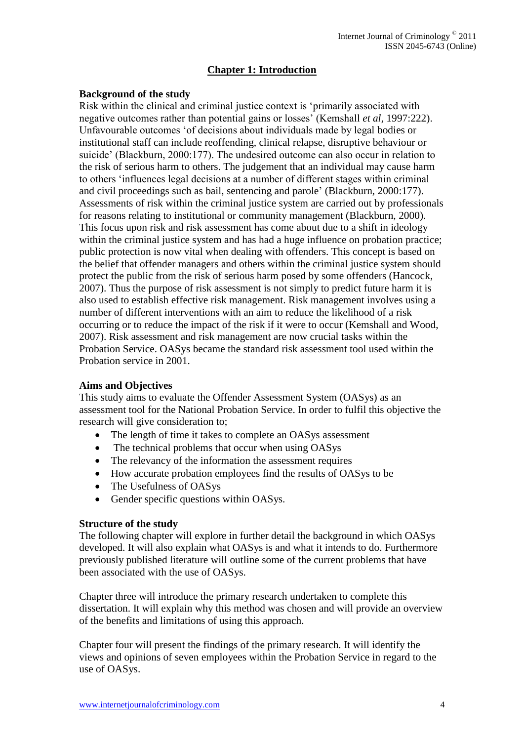# **Chapter 1: Introduction**

### **Background of the study**

Risk within the clinical and criminal justice context is 'primarily associated with negative outcomes rather than potential gains or losses' (Kemshall *et al,* 1997:222). Unfavourable outcomes 'of decisions about individuals made by legal bodies or institutional staff can include reoffending, clinical relapse, disruptive behaviour or suicide' (Blackburn, 2000:177). The undesired outcome can also occur in relation to the risk of serious harm to others. The judgement that an individual may cause harm to others 'influences legal decisions at a number of different stages within criminal and civil proceedings such as bail, sentencing and parole' (Blackburn, 2000:177). Assessments of risk within the criminal justice system are carried out by professionals for reasons relating to institutional or community management (Blackburn, 2000). This focus upon risk and risk assessment has come about due to a shift in ideology within the criminal justice system and has had a huge influence on probation practice; public protection is now vital when dealing with offenders. This concept is based on the belief that offender managers and others within the criminal justice system should protect the public from the risk of serious harm posed by some offenders (Hancock, 2007). Thus the purpose of risk assessment is not simply to predict future harm it is also used to establish effective risk management. Risk management involves using a number of different interventions with an aim to reduce the likelihood of a risk occurring or to reduce the impact of the risk if it were to occur (Kemshall and Wood, 2007). Risk assessment and risk management are now crucial tasks within the Probation Service. OASys became the standard risk assessment tool used within the Probation service in 2001.

#### **Aims and Objectives**

This study aims to evaluate the Offender Assessment System (OASys) as an assessment tool for the National Probation Service. In order to fulfil this objective the research will give consideration to;

- The length of time it takes to complete an OASys assessment
- The technical problems that occur when using OASys
- The relevancy of the information the assessment requires
- How accurate probation employees find the results of OASys to be
- The Usefulness of OASys
- Gender specific questions within OASys.

#### **Structure of the study**

The following chapter will explore in further detail the background in which OASys developed. It will also explain what OASys is and what it intends to do. Furthermore previously published literature will outline some of the current problems that have been associated with the use of OASys.

Chapter three will introduce the primary research undertaken to complete this dissertation. It will explain why this method was chosen and will provide an overview of the benefits and limitations of using this approach.

Chapter four will present the findings of the primary research. It will identify the views and opinions of seven employees within the Probation Service in regard to the use of OASys.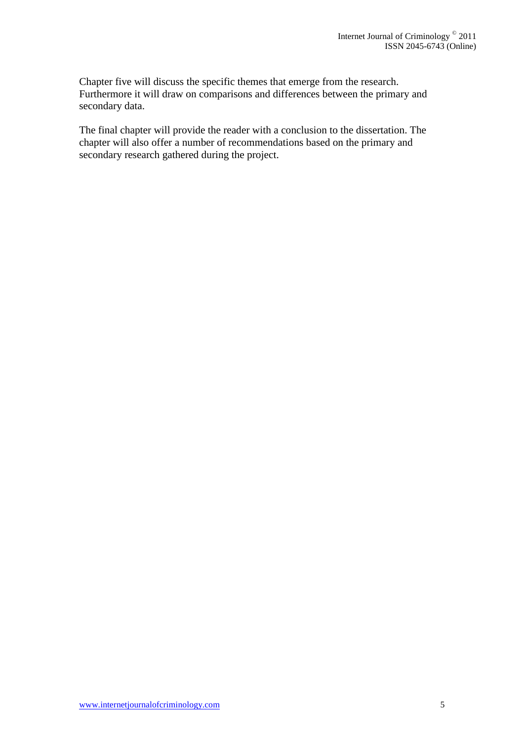Chapter five will discuss the specific themes that emerge from the research. Furthermore it will draw on comparisons and differences between the primary and secondary data.

The final chapter will provide the reader with a conclusion to the dissertation. The chapter will also offer a number of recommendations based on the primary and secondary research gathered during the project.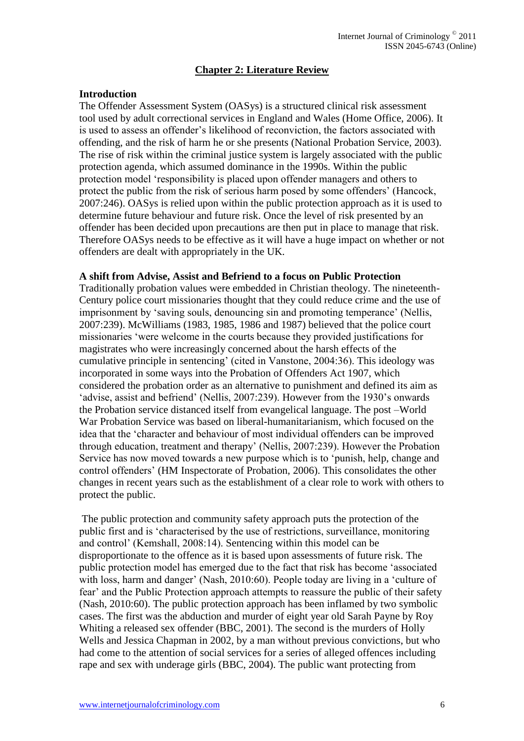# **Chapter 2: Literature Review**

## **Introduction**

The Offender Assessment System (OASys) is a structured clinical risk assessment tool used by adult correctional services in England and Wales (Home Office, 2006). It is used to assess an offender's likelihood of reconviction, the factors associated with offending, and the risk of harm he or she presents (National Probation Service, 2003). The rise of risk within the criminal justice system is largely associated with the public protection agenda, which assumed dominance in the 1990s. Within the public protection model 'responsibility is placed upon offender managers and others to protect the public from the risk of serious harm posed by some offenders' (Hancock, 2007:246). OASys is relied upon within the public protection approach as it is used to determine future behaviour and future risk. Once the level of risk presented by an offender has been decided upon precautions are then put in place to manage that risk. Therefore OASys needs to be effective as it will have a huge impact on whether or not offenders are dealt with appropriately in the UK.

#### **A shift from Advise, Assist and Befriend to a focus on Public Protection**

Traditionally probation values were embedded in Christian theology. The nineteenth-Century police court missionaries thought that they could reduce crime and the use of imprisonment by 'saving souls, denouncing sin and promoting temperance' (Nellis, 2007:239). McWilliams (1983, 1985, 1986 and 1987) believed that the police court missionaries 'were welcome in the courts because they provided justifications for magistrates who were increasingly concerned about the harsh effects of the cumulative principle in sentencing' (cited in Vanstone, 2004:36). This ideology was incorporated in some ways into the Probation of Offenders Act 1907, which considered the probation order as an alternative to punishment and defined its aim as 'advise, assist and befriend' (Nellis, 2007:239). However from the 1930's onwards the Probation service distanced itself from evangelical language. The post –World War Probation Service was based on liberal-humanitarianism, which focused on the idea that the 'character and behaviour of most individual offenders can be improved through education, treatment and therapy' (Nellis, 2007:239). However the Probation Service has now moved towards a new purpose which is to 'punish, help, change and control offenders' (HM Inspectorate of Probation, 2006). This consolidates the other changes in recent years such as the establishment of a clear role to work with others to protect the public.

The public protection and community safety approach puts the protection of the public first and is 'characterised by the use of restrictions, surveillance, monitoring and control' (Kemshall, 2008:14). Sentencing within this model can be disproportionate to the offence as it is based upon assessments of future risk. The public protection model has emerged due to the fact that risk has become 'associated with loss, harm and danger' (Nash, 2010:60). People today are living in a 'culture of fear' and the Public Protection approach attempts to reassure the public of their safety (Nash, 2010:60). The public protection approach has been inflamed by two symbolic cases. The first was the abduction and murder of eight year old Sarah Payne by Roy Whiting a released sex offender (BBC, 2001). The second is the murders of Holly Wells and Jessica Chapman in 2002, by a man without previous convictions, but who had come to the attention of social services for a series of alleged offences including rape and sex with underage girls (BBC, 2004). The public want protecting from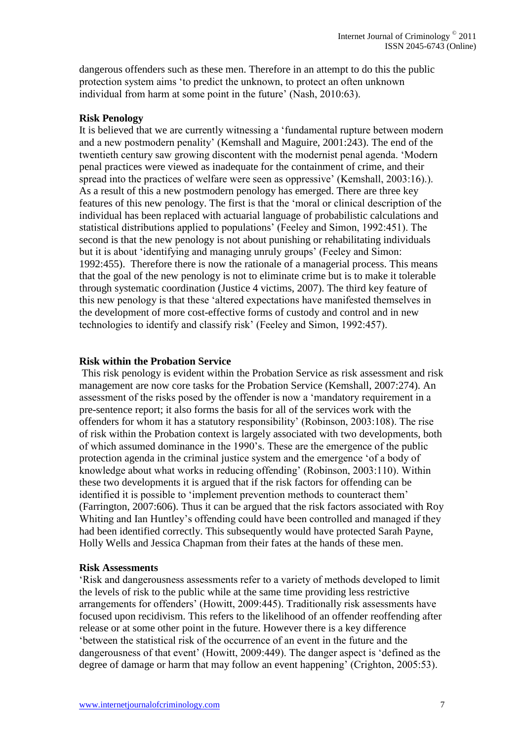dangerous offenders such as these men. Therefore in an attempt to do this the public protection system aims 'to predict the unknown, to protect an often unknown individual from harm at some point in the future' (Nash, 2010:63).

#### **Risk Penology**

It is believed that we are currently witnessing a 'fundamental rupture between modern and a new postmodern penality' (Kemshall and Maguire, 2001:243). The end of the twentieth century saw growing discontent with the modernist penal agenda. 'Modern penal practices were viewed as inadequate for the containment of crime, and their spread into the practices of welfare were seen as oppressive' (Kemshall, 2003:16).). As a result of this a new postmodern penology has emerged. There are three key features of this new penology. The first is that the 'moral or clinical description of the individual has been replaced with actuarial language of probabilistic calculations and statistical distributions applied to populations' (Feeley and Simon, 1992:451). The second is that the new penology is not about punishing or rehabilitating individuals but it is about 'identifying and managing unruly groups' (Feeley and Simon: 1992:455). Therefore there is now the rationale of a managerial process. This means that the goal of the new penology is not to eliminate crime but is to make it tolerable through systematic coordination (Justice 4 victims, 2007). The third key feature of this new penology is that these 'altered expectations have manifested themselves in the development of more cost-effective forms of custody and control and in new technologies to identify and classify risk' (Feeley and Simon, 1992:457).

#### **Risk within the Probation Service**

This risk penology is evident within the Probation Service as risk assessment and risk management are now core tasks for the Probation Service (Kemshall, 2007:274). An assessment of the risks posed by the offender is now a 'mandatory requirement in a pre-sentence report; it also forms the basis for all of the services work with the offenders for whom it has a statutory responsibility' (Robinson, 2003:108). The rise of risk within the Probation context is largely associated with two developments, both of which assumed dominance in the 1990's. These are the emergence of the public protection agenda in the criminal justice system and the emergence 'of a body of knowledge about what works in reducing offending' (Robinson, 2003:110). Within these two developments it is argued that if the risk factors for offending can be identified it is possible to 'implement prevention methods to counteract them' (Farrington, 2007:606). Thus it can be argued that the risk factors associated with Roy Whiting and Ian Huntley's offending could have been controlled and managed if they had been identified correctly. This subsequently would have protected Sarah Payne, Holly Wells and Jessica Chapman from their fates at the hands of these men.

#### **Risk Assessments**

'Risk and dangerousness assessments refer to a variety of methods developed to limit the levels of risk to the public while at the same time providing less restrictive arrangements for offenders' (Howitt, 2009:445). Traditionally risk assessments have focused upon recidivism. This refers to the likelihood of an offender reoffending after release or at some other point in the future. However there is a key difference 'between the statistical risk of the occurrence of an event in the future and the dangerousness of that event' (Howitt, 2009:449). The danger aspect is 'defined as the degree of damage or harm that may follow an event happening' (Crighton, 2005:53).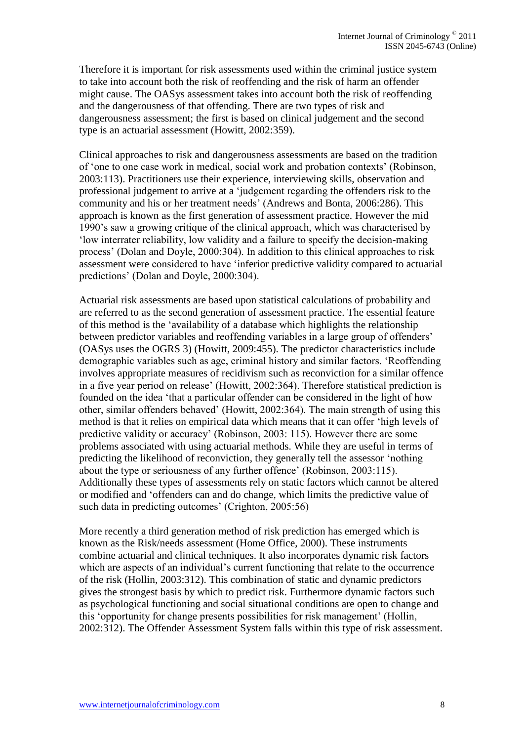Therefore it is important for risk assessments used within the criminal justice system to take into account both the risk of reoffending and the risk of harm an offender might cause. The OASys assessment takes into account both the risk of reoffending and the dangerousness of that offending. There are two types of risk and dangerousness assessment; the first is based on clinical judgement and the second type is an actuarial assessment (Howitt, 2002:359).

Clinical approaches to risk and dangerousness assessments are based on the tradition of 'one to one case work in medical, social work and probation contexts' (Robinson, 2003:113). Practitioners use their experience, interviewing skills, observation and professional judgement to arrive at a 'judgement regarding the offenders risk to the community and his or her treatment needs' (Andrews and Bonta, 2006:286). This approach is known as the first generation of assessment practice. However the mid 1990's saw a growing critique of the clinical approach, which was characterised by 'low interrater reliability, low validity and a failure to specify the decision-making process' (Dolan and Doyle, 2000:304). In addition to this clinical approaches to risk assessment were considered to have 'inferior predictive validity compared to actuarial predictions' (Dolan and Doyle, 2000:304).

Actuarial risk assessments are based upon statistical calculations of probability and are referred to as the second generation of assessment practice. The essential feature of this method is the 'availability of a database which highlights the relationship between predictor variables and reoffending variables in a large group of offenders' (OASys uses the OGRS 3) (Howitt, 2009:455). The predictor characteristics include demographic variables such as age, criminal history and similar factors. 'Reoffending involves appropriate measures of recidivism such as reconviction for a similar offence in a five year period on release' (Howitt, 2002:364). Therefore statistical prediction is founded on the idea 'that a particular offender can be considered in the light of how other, similar offenders behaved' (Howitt, 2002:364). The main strength of using this method is that it relies on empirical data which means that it can offer 'high levels of predictive validity or accuracy' (Robinson, 2003: 115). However there are some problems associated with using actuarial methods. While they are useful in terms of predicting the likelihood of reconviction, they generally tell the assessor 'nothing about the type or seriousness of any further offence' (Robinson, 2003:115). Additionally these types of assessments rely on static factors which cannot be altered or modified and 'offenders can and do change, which limits the predictive value of such data in predicting outcomes' (Crighton, 2005:56)

More recently a third generation method of risk prediction has emerged which is known as the Risk/needs assessment (Home Office, 2000). These instruments combine actuarial and clinical techniques. It also incorporates dynamic risk factors which are aspects of an individual's current functioning that relate to the occurrence of the risk (Hollin, 2003:312). This combination of static and dynamic predictors gives the strongest basis by which to predict risk. Furthermore dynamic factors such as psychological functioning and social situational conditions are open to change and this 'opportunity for change presents possibilities for risk management' (Hollin, 2002:312). The Offender Assessment System falls within this type of risk assessment.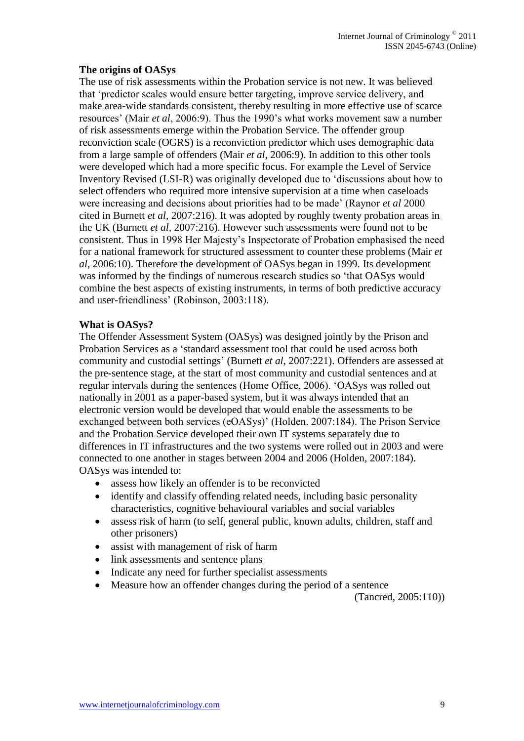## **The origins of OASys**

The use of risk assessments within the Probation service is not new. It was believed that 'predictor scales would ensure better targeting, improve service delivery, and make area-wide standards consistent, thereby resulting in more effective use of scarce resources' (Mair *et al*, 2006:9). Thus the 1990's what works movement saw a number of risk assessments emerge within the Probation Service. The offender group reconviction scale (OGRS) is a reconviction predictor which uses demographic data from a large sample of offenders (Mair *et al*, 2006:9). In addition to this other tools were developed which had a more specific focus. For example the Level of Service Inventory Revised (LSI-R) was originally developed due to 'discussions about how to select offenders who required more intensive supervision at a time when caseloads were increasing and decisions about priorities had to be made' (Raynor *et al* 2000 cited in Burnett *et al,* 2007:216). It was adopted by roughly twenty probation areas in the UK (Burnett *et al,* 2007:216). However such assessments were found not to be consistent. Thus in 1998 Her Majesty's Inspectorate of Probation emphasised the need for a national framework for structured assessment to counter these problems (Mair *et al*, 2006:10). Therefore the development of OASys began in 1999. Its development was informed by the findings of numerous research studies so 'that OASys would combine the best aspects of existing instruments, in terms of both predictive accuracy and user-friendliness' (Robinson, 2003:118).

## **What is OASys?**

The Offender Assessment System (OASys) was designed jointly by the Prison and Probation Services as a 'standard assessment tool that could be used across both community and custodial settings' (Burnett *et al*, 2007:221). Offenders are assessed at the pre-sentence stage, at the start of most community and custodial sentences and at regular intervals during the sentences (Home Office, 2006). 'OASys was rolled out nationally in 2001 as a paper-based system, but it was always intended that an electronic version would be developed that would enable the assessments to be exchanged between both services (eOASys)' (Holden. 2007:184). The Prison Service and the Probation Service developed their own IT systems separately due to differences in IT infrastructures and the two systems were rolled out in 2003 and were connected to one another in stages between 2004 and 2006 (Holden, 2007:184). OASys was intended to:

- assess how likely an offender is to be reconvicted
- identify and classify offending related needs, including basic personality characteristics, cognitive behavioural variables and social variables
- assess risk of harm (to self, general public, known adults, children, staff and other prisoners)
- assist with management of risk of harm
- link assessments and sentence plans
- Indicate any need for further specialist assessments
- Measure how an offender changes during the period of a sentence

(Tancred, 2005:110))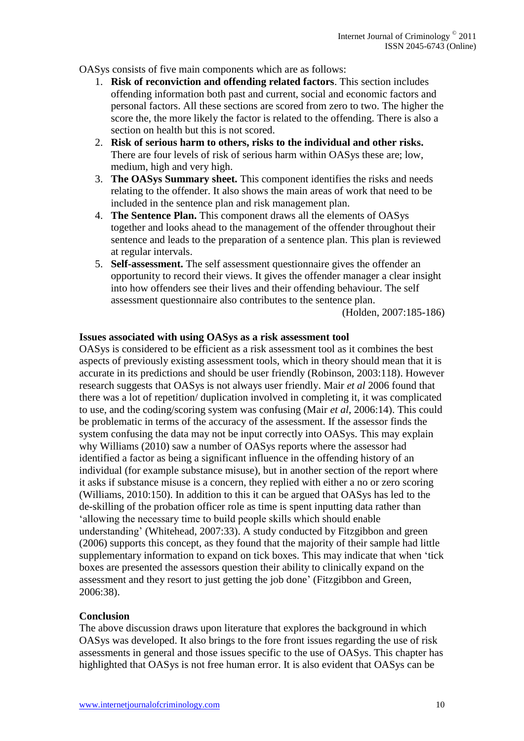OASys consists of five main components which are as follows:

- 1. **Risk of reconviction and offending related factors**. This section includes offending information both past and current, social and economic factors and personal factors. All these sections are scored from zero to two. The higher the score the, the more likely the factor is related to the offending. There is also a section on health but this is not scored.
- 2. **Risk of serious harm to others, risks to the individual and other risks.** There are four levels of risk of serious harm within OASys these are; low, medium, high and very high.
- 3. **The OASys Summary sheet.** This component identifies the risks and needs relating to the offender. It also shows the main areas of work that need to be included in the sentence plan and risk management plan.
- 4. **The Sentence Plan.** This component draws all the elements of OASys together and looks ahead to the management of the offender throughout their sentence and leads to the preparation of a sentence plan. This plan is reviewed at regular intervals.
- 5. **Self-assessment.** The self assessment questionnaire gives the offender an opportunity to record their views. It gives the offender manager a clear insight into how offenders see their lives and their offending behaviour. The self assessment questionnaire also contributes to the sentence plan.

(Holden, 2007:185-186)

#### **Issues associated with using OASys as a risk assessment tool**

OASys is considered to be efficient as a risk assessment tool as it combines the best aspects of previously existing assessment tools, which in theory should mean that it is accurate in its predictions and should be user friendly (Robinson, 2003:118). However research suggests that OASys is not always user friendly. Mair *et al* 2006 found that there was a lot of repetition/ duplication involved in completing it, it was complicated to use, and the coding/scoring system was confusing (Mair *et al*, 2006:14). This could be problematic in terms of the accuracy of the assessment. If the assessor finds the system confusing the data may not be input correctly into OASys. This may explain why Williams (2010) saw a number of OASys reports where the assessor had identified a factor as being a significant influence in the offending history of an individual (for example substance misuse), but in another section of the report where it asks if substance misuse is a concern, they replied with either a no or zero scoring (Williams, 2010:150). In addition to this it can be argued that OASys has led to the de-skilling of the probation officer role as time is spent inputting data rather than 'allowing the necessary time to build people skills which should enable understanding' (Whitehead, 2007:33). A study conducted by Fitzgibbon and green (2006) supports this concept, as they found that the majority of their sample had little supplementary information to expand on tick boxes. This may indicate that when 'tick boxes are presented the assessors question their ability to clinically expand on the assessment and they resort to just getting the job done' (Fitzgibbon and Green, 2006:38).

#### **Conclusion**

The above discussion draws upon literature that explores the background in which OASys was developed. It also brings to the fore front issues regarding the use of risk assessments in general and those issues specific to the use of OASys. This chapter has highlighted that OASys is not free human error. It is also evident that OASys can be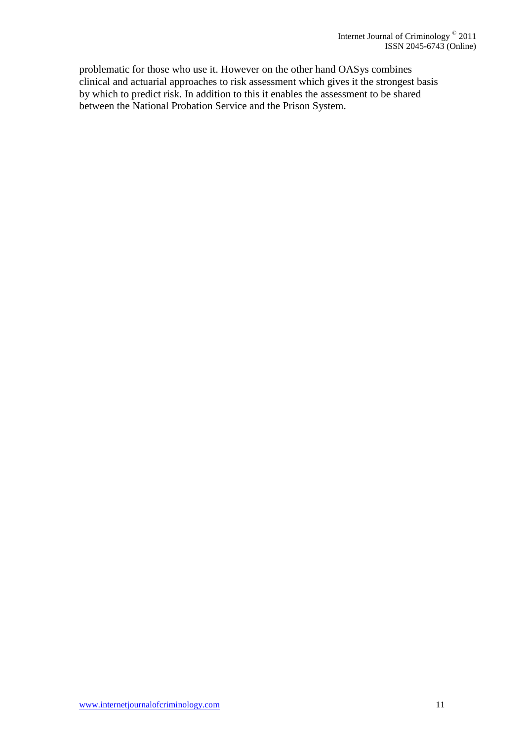problematic for those who use it. However on the other hand OASys combines clinical and actuarial approaches to risk assessment which gives it the strongest basis by which to predict risk. In addition to this it enables the assessment to be shared between the National Probation Service and the Prison System.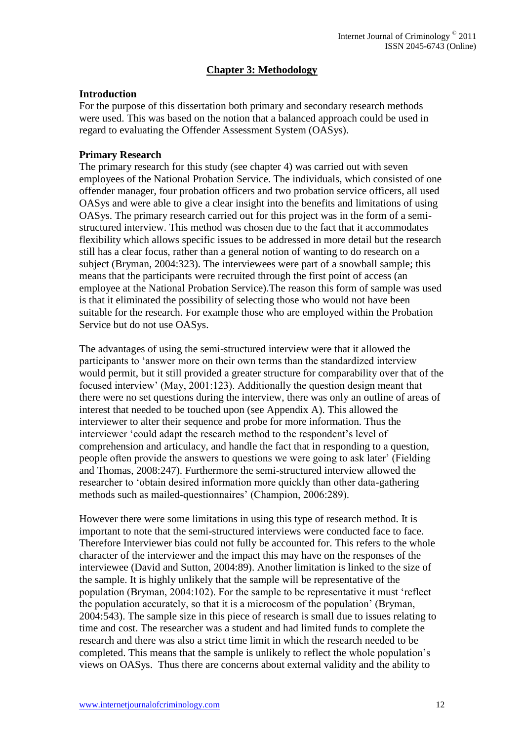# **Chapter 3: Methodology**

#### **Introduction**

For the purpose of this dissertation both primary and secondary research methods were used. This was based on the notion that a balanced approach could be used in regard to evaluating the Offender Assessment System (OASys).

## **Primary Research**

The primary research for this study (see chapter 4) was carried out with seven employees of the National Probation Service. The individuals, which consisted of one offender manager, four probation officers and two probation service officers, all used OASys and were able to give a clear insight into the benefits and limitations of using OASys. The primary research carried out for this project was in the form of a semistructured interview. This method was chosen due to the fact that it accommodates flexibility which allows specific issues to be addressed in more detail but the research still has a clear focus, rather than a general notion of wanting to do research on a subject (Bryman, 2004:323). The interviewees were part of a snowball sample; this means that the participants were recruited through the first point of access (an employee at the National Probation Service).The reason this form of sample was used is that it eliminated the possibility of selecting those who would not have been suitable for the research. For example those who are employed within the Probation Service but do not use OASys.

The advantages of using the semi-structured interview were that it allowed the participants to 'answer more on their own terms than the standardized interview would permit, but it still provided a greater structure for comparability over that of the focused interview' (May, 2001:123). Additionally the question design meant that there were no set questions during the interview, there was only an outline of areas of interest that needed to be touched upon (see Appendix A). This allowed the interviewer to alter their sequence and probe for more information. Thus the interviewer 'could adapt the research method to the respondent's level of comprehension and articulacy, and handle the fact that in responding to a question, people often provide the answers to questions we were going to ask later' (Fielding and Thomas, 2008:247). Furthermore the semi-structured interview allowed the researcher to 'obtain desired information more quickly than other data-gathering methods such as mailed-questionnaires' (Champion, 2006:289).

However there were some limitations in using this type of research method. It is important to note that the semi-structured interviews were conducted face to face. Therefore Interviewer bias could not fully be accounted for. This refers to the whole character of the interviewer and the impact this may have on the responses of the interviewee (David and Sutton, 2004:89). Another limitation is linked to the size of the sample. It is highly unlikely that the sample will be representative of the population (Bryman, 2004:102). For the sample to be representative it must 'reflect the population accurately, so that it is a microcosm of the population' (Bryman, 2004:543). The sample size in this piece of research is small due to issues relating to time and cost. The researcher was a student and had limited funds to complete the research and there was also a strict time limit in which the research needed to be completed. This means that the sample is unlikely to reflect the whole population's views on OASys. Thus there are concerns about external validity and the ability to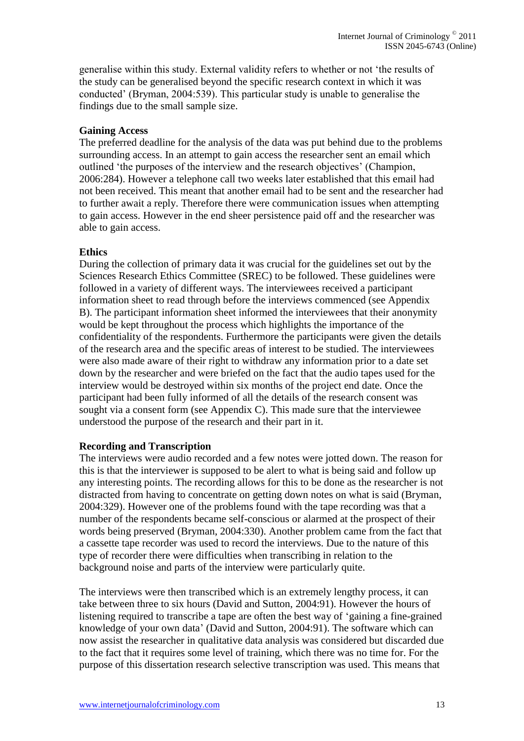generalise within this study. External validity refers to whether or not 'the results of the study can be generalised beyond the specific research context in which it was conducted' (Bryman, 2004:539). This particular study is unable to generalise the findings due to the small sample size.

## **Gaining Access**

The preferred deadline for the analysis of the data was put behind due to the problems surrounding access. In an attempt to gain access the researcher sent an email which outlined 'the purposes of the interview and the research objectives' (Champion, 2006:284). However a telephone call two weeks later established that this email had not been received. This meant that another email had to be sent and the researcher had to further await a reply. Therefore there were communication issues when attempting to gain access. However in the end sheer persistence paid off and the researcher was able to gain access.

## **Ethics**

During the collection of primary data it was crucial for the guidelines set out by the Sciences Research Ethics Committee (SREC) to be followed. These guidelines were followed in a variety of different ways. The interviewees received a participant information sheet to read through before the interviews commenced (see Appendix B). The participant information sheet informed the interviewees that their anonymity would be kept throughout the process which highlights the importance of the confidentiality of the respondents. Furthermore the participants were given the details of the research area and the specific areas of interest to be studied. The interviewees were also made aware of their right to withdraw any information prior to a date set down by the researcher and were briefed on the fact that the audio tapes used for the interview would be destroyed within six months of the project end date. Once the participant had been fully informed of all the details of the research consent was sought via a consent form (see Appendix C). This made sure that the interviewee understood the purpose of the research and their part in it.

#### **Recording and Transcription**

The interviews were audio recorded and a few notes were jotted down. The reason for this is that the interviewer is supposed to be alert to what is being said and follow up any interesting points. The recording allows for this to be done as the researcher is not distracted from having to concentrate on getting down notes on what is said (Bryman, 2004:329). However one of the problems found with the tape recording was that a number of the respondents became self-conscious or alarmed at the prospect of their words being preserved (Bryman, 2004:330). Another problem came from the fact that a cassette tape recorder was used to record the interviews. Due to the nature of this type of recorder there were difficulties when transcribing in relation to the background noise and parts of the interview were particularly quite.

The interviews were then transcribed which is an extremely lengthy process, it can take between three to six hours (David and Sutton, 2004:91). However the hours of listening required to transcribe a tape are often the best way of 'gaining a fine-grained knowledge of your own data' (David and Sutton, 2004:91). The software which can now assist the researcher in qualitative data analysis was considered but discarded due to the fact that it requires some level of training, which there was no time for. For the purpose of this dissertation research selective transcription was used. This means that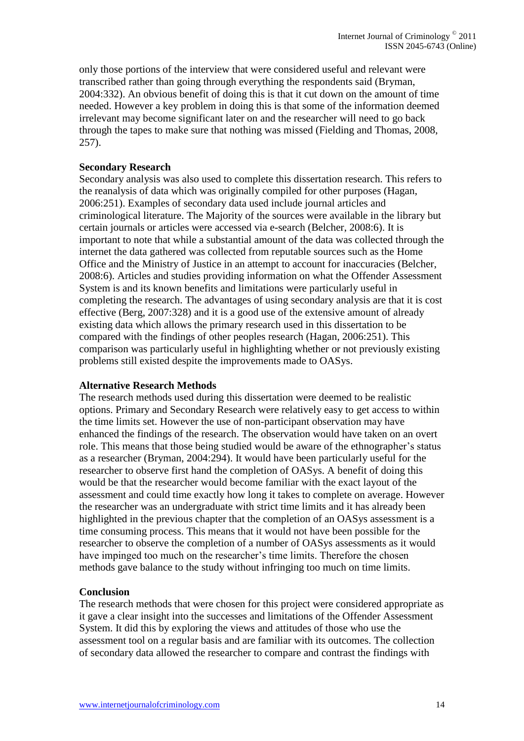only those portions of the interview that were considered useful and relevant were transcribed rather than going through everything the respondents said (Bryman, 2004:332). An obvious benefit of doing this is that it cut down on the amount of time needed. However a key problem in doing this is that some of the information deemed irrelevant may become significant later on and the researcher will need to go back through the tapes to make sure that nothing was missed (Fielding and Thomas, 2008, 257).

## **Secondary Research**

Secondary analysis was also used to complete this dissertation research. This refers to the reanalysis of data which was originally compiled for other purposes (Hagan, 2006:251). Examples of secondary data used include journal articles and criminological literature. The Majority of the sources were available in the library but certain journals or articles were accessed via e-search (Belcher, 2008:6). It is important to note that while a substantial amount of the data was collected through the internet the data gathered was collected from reputable sources such as the Home Office and the Ministry of Justice in an attempt to account for inaccuracies (Belcher, 2008:6). Articles and studies providing information on what the Offender Assessment System is and its known benefits and limitations were particularly useful in completing the research. The advantages of using secondary analysis are that it is cost effective (Berg, 2007:328) and it is a good use of the extensive amount of already existing data which allows the primary research used in this dissertation to be compared with the findings of other peoples research (Hagan, 2006:251). This comparison was particularly useful in highlighting whether or not previously existing problems still existed despite the improvements made to OASys.

#### **Alternative Research Methods**

The research methods used during this dissertation were deemed to be realistic options. Primary and Secondary Research were relatively easy to get access to within the time limits set. However the use of non-participant observation may have enhanced the findings of the research. The observation would have taken on an overt role. This means that those being studied would be aware of the ethnographer's status as a researcher (Bryman, 2004:294). It would have been particularly useful for the researcher to observe first hand the completion of OASys. A benefit of doing this would be that the researcher would become familiar with the exact layout of the assessment and could time exactly how long it takes to complete on average. However the researcher was an undergraduate with strict time limits and it has already been highlighted in the previous chapter that the completion of an OASys assessment is a time consuming process. This means that it would not have been possible for the researcher to observe the completion of a number of OASys assessments as it would have impinged too much on the researcher's time limits. Therefore the chosen methods gave balance to the study without infringing too much on time limits.

# **Conclusion**

The research methods that were chosen for this project were considered appropriate as it gave a clear insight into the successes and limitations of the Offender Assessment System. It did this by exploring the views and attitudes of those who use the assessment tool on a regular basis and are familiar with its outcomes. The collection of secondary data allowed the researcher to compare and contrast the findings with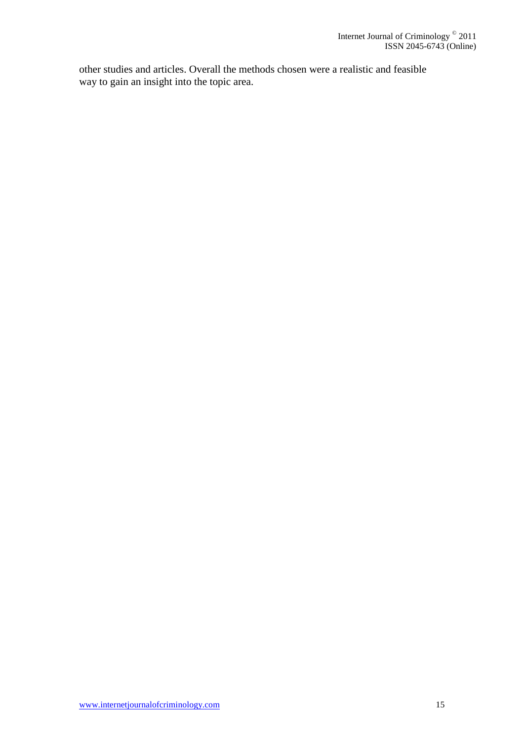other studies and articles. Overall the methods chosen were a realistic and feasible way to gain an insight into the topic area.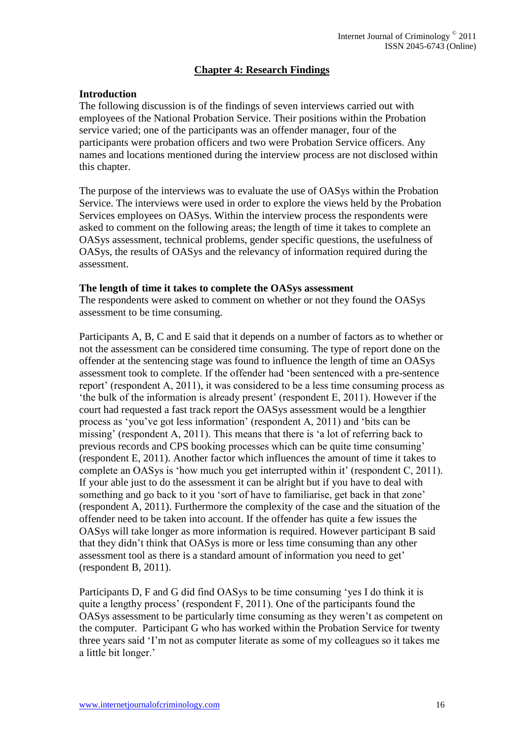# **Chapter 4: Research Findings**

## **Introduction**

The following discussion is of the findings of seven interviews carried out with employees of the National Probation Service. Their positions within the Probation service varied; one of the participants was an offender manager, four of the participants were probation officers and two were Probation Service officers. Any names and locations mentioned during the interview process are not disclosed within this chapter.

The purpose of the interviews was to evaluate the use of OASys within the Probation Service. The interviews were used in order to explore the views held by the Probation Services employees on OASys. Within the interview process the respondents were asked to comment on the following areas; the length of time it takes to complete an OASys assessment, technical problems, gender specific questions, the usefulness of OASys, the results of OASys and the relevancy of information required during the assessment.

#### **The length of time it takes to complete the OASys assessment**

The respondents were asked to comment on whether or not they found the OASys assessment to be time consuming.

Participants A, B, C and E said that it depends on a number of factors as to whether or not the assessment can be considered time consuming. The type of report done on the offender at the sentencing stage was found to influence the length of time an OASys assessment took to complete. If the offender had 'been sentenced with a pre-sentence report' (respondent A, 2011), it was considered to be a less time consuming process as 'the bulk of the information is already present' (respondent E, 2011). However if the court had requested a fast track report the OASys assessment would be a lengthier process as 'you've got less information' (respondent A, 2011) and 'bits can be missing' (respondent A, 2011). This means that there is 'a lot of referring back to previous records and CPS booking processes which can be quite time consuming' (respondent E, 2011). Another factor which influences the amount of time it takes to complete an OASys is 'how much you get interrupted within it' (respondent C, 2011). If your able just to do the assessment it can be alright but if you have to deal with something and go back to it you 'sort of have to familiarise, get back in that zone' (respondent A, 2011). Furthermore the complexity of the case and the situation of the offender need to be taken into account. If the offender has quite a few issues the OASys will take longer as more information is required. However participant B said that they didn't think that OASys is more or less time consuming than any other assessment tool as there is a standard amount of information you need to get' (respondent B, 2011).

Participants D, F and G did find OASys to be time consuming 'yes I do think it is quite a lengthy process' (respondent F, 2011). One of the participants found the OASys assessment to be particularly time consuming as they weren't as competent on the computer. Participant G who has worked within the Probation Service for twenty three years said 'I'm not as computer literate as some of my colleagues so it takes me a little bit longer.'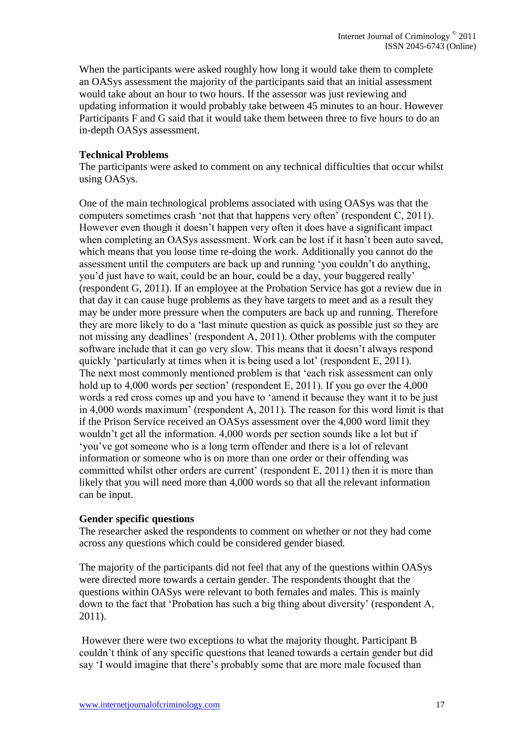When the participants were asked roughly how long it would take them to complete an OASys assessment the majority of the participants said that an initial assessment would take about an hour to two hours. If the assessor was just reviewing and updating information it would probably take between 45 minutes to an hour. However Participants F and G said that it would take them between three to five hours to do an in-depth OASys assessment.

## **Technical Problems**

The participants were asked to comment on any technical difficulties that occur whilst using OASys.

One of the main technological problems associated with using OASys was that the computers sometimes crash 'not that that happens very often' (respondent C, 2011). However even though it doesn't happen very often it does have a significant impact when completing an OASys assessment. Work can be lost if it hasn't been auto saved, which means that you loose time re-doing the work. Additionally you cannot do the assessment until the computers are back up and running 'you couldn't do anything, you'd just have to wait, could be an hour, could be a day, your buggered really' (respondent G, 2011). If an employee at the Probation Service has got a review due in that day it can cause huge problems as they have targets to meet and as a result they may be under more pressure when the computers are back up and running. Therefore they are more likely to do a 'last minute question as quick as possible just so they are not missing any deadlines' (respondent A, 2011). Other problems with the computer software include that it can go very slow. This means that it doesn't always respond quickly 'particularly at times when it is being used a lot' (respondent E, 2011). The next most commonly mentioned problem is that 'each risk assessment can only hold up to 4,000 words per section' (respondent E, 2011). If you go over the 4,000 words a red cross comes up and you have to 'amend it because they want it to be just in 4,000 words maximum' (respondent A, 2011). The reason for this word limit is that if the Prison Service received an OASys assessment over the 4,000 word limit they wouldn't get all the information. 4,000 words per section sounds like a lot but if 'you've got someone who is a long term offender and there is a lot of relevant information or someone who is on more than one order or their offending was committed whilst other orders are current' (respondent E, 2011) then it is more than likely that you will need more than 4,000 words so that all the relevant information can be input.

#### **Gender specific questions**

The researcher asked the respondents to comment on whether or not they had come across any questions which could be considered gender biased.

The majority of the participants did not feel that any of the questions within OASys were directed more towards a certain gender. The respondents thought that the questions within OASys were relevant to both females and males. This is mainly down to the fact that 'Probation has such a big thing about diversity' (respondent A, 2011).

However there were two exceptions to what the majority thought. Participant B couldn't think of any specific questions that leaned towards a certain gender but did say 'I would imagine that there's probably some that are more male focused than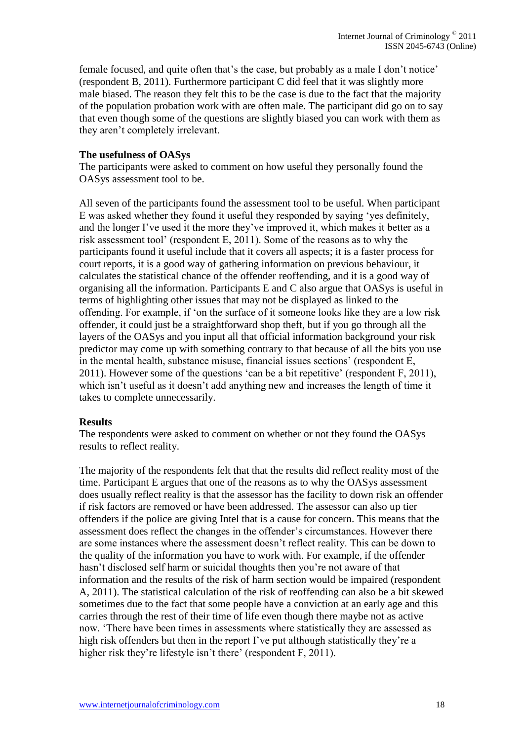female focused, and quite often that's the case, but probably as a male I don't notice' (respondent B, 2011). Furthermore participant C did feel that it was slightly more male biased. The reason they felt this to be the case is due to the fact that the majority of the population probation work with are often male. The participant did go on to say that even though some of the questions are slightly biased you can work with them as they aren't completely irrelevant.

#### **The usefulness of OASys**

The participants were asked to comment on how useful they personally found the OASys assessment tool to be.

All seven of the participants found the assessment tool to be useful. When participant E was asked whether they found it useful they responded by saying 'yes definitely, and the longer I've used it the more they've improved it, which makes it better as a risk assessment tool' (respondent E, 2011). Some of the reasons as to why the participants found it useful include that it covers all aspects; it is a faster process for court reports, it is a good way of gathering information on previous behaviour, it calculates the statistical chance of the offender reoffending, and it is a good way of organising all the information. Participants E and C also argue that OASys is useful in terms of highlighting other issues that may not be displayed as linked to the offending. For example, if 'on the surface of it someone looks like they are a low risk offender, it could just be a straightforward shop theft, but if you go through all the layers of the OASys and you input all that official information background your risk predictor may come up with something contrary to that because of all the bits you use in the mental health, substance misuse, financial issues sections' (respondent E, 2011). However some of the questions 'can be a bit repetitive' (respondent F, 2011), which isn't useful as it doesn't add anything new and increases the length of time it takes to complete unnecessarily.

#### **Results**

The respondents were asked to comment on whether or not they found the OASys results to reflect reality.

The majority of the respondents felt that that the results did reflect reality most of the time. Participant E argues that one of the reasons as to why the OASys assessment does usually reflect reality is that the assessor has the facility to down risk an offender if risk factors are removed or have been addressed. The assessor can also up tier offenders if the police are giving Intel that is a cause for concern. This means that the assessment does reflect the changes in the offender's circumstances. However there are some instances where the assessment doesn't reflect reality. This can be down to the quality of the information you have to work with. For example, if the offender hasn't disclosed self harm or suicidal thoughts then you're not aware of that information and the results of the risk of harm section would be impaired (respondent A, 2011). The statistical calculation of the risk of reoffending can also be a bit skewed sometimes due to the fact that some people have a conviction at an early age and this carries through the rest of their time of life even though there maybe not as active now. 'There have been times in assessments where statistically they are assessed as high risk offenders but then in the report I've put although statistically they're a higher risk they're lifestyle isn't there' (respondent F, 2011).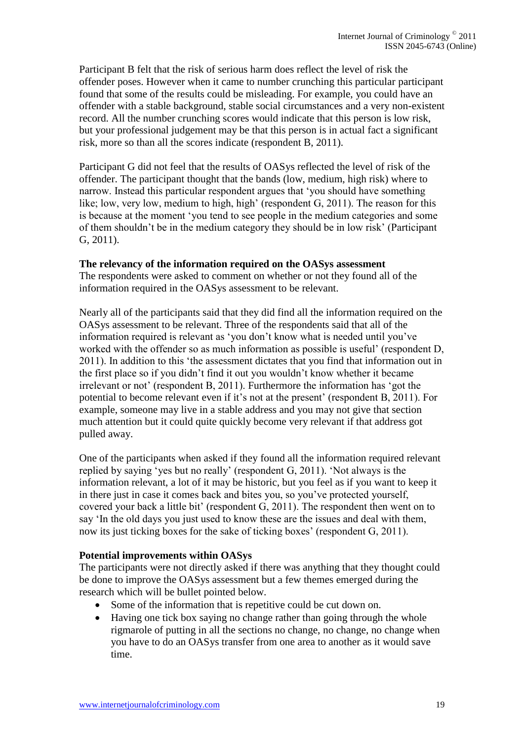Participant B felt that the risk of serious harm does reflect the level of risk the offender poses. However when it came to number crunching this particular participant found that some of the results could be misleading. For example, you could have an offender with a stable background, stable social circumstances and a very non-existent record. All the number crunching scores would indicate that this person is low risk, but your professional judgement may be that this person is in actual fact a significant risk, more so than all the scores indicate (respondent B, 2011).

Participant G did not feel that the results of OASys reflected the level of risk of the offender. The participant thought that the bands (low, medium, high risk) where to narrow. Instead this particular respondent argues that 'you should have something like; low, very low, medium to high, high' (respondent G, 2011). The reason for this is because at the moment 'you tend to see people in the medium categories and some of them shouldn't be in the medium category they should be in low risk' (Participant G, 2011).

#### **The relevancy of the information required on the OASys assessment**

The respondents were asked to comment on whether or not they found all of the information required in the OASys assessment to be relevant.

Nearly all of the participants said that they did find all the information required on the OASys assessment to be relevant. Three of the respondents said that all of the information required is relevant as 'you don't know what is needed until you've worked with the offender so as much information as possible is useful' (respondent D, 2011). In addition to this 'the assessment dictates that you find that information out in the first place so if you didn't find it out you wouldn't know whether it became irrelevant or not' (respondent B, 2011). Furthermore the information has 'got the potential to become relevant even if it's not at the present' (respondent B, 2011). For example, someone may live in a stable address and you may not give that section much attention but it could quite quickly become very relevant if that address got pulled away.

One of the participants when asked if they found all the information required relevant replied by saying 'yes but no really' (respondent G, 2011). 'Not always is the information relevant, a lot of it may be historic, but you feel as if you want to keep it in there just in case it comes back and bites you, so you've protected yourself, covered your back a little bit' (respondent G, 2011). The respondent then went on to say 'In the old days you just used to know these are the issues and deal with them, now its just ticking boxes for the sake of ticking boxes' (respondent G, 2011).

#### **Potential improvements within OASys**

The participants were not directly asked if there was anything that they thought could be done to improve the OASys assessment but a few themes emerged during the research which will be bullet pointed below.

- Some of the information that is repetitive could be cut down on.
- Having one tick box saying no change rather than going through the whole rigmarole of putting in all the sections no change, no change, no change when you have to do an OASys transfer from one area to another as it would save time.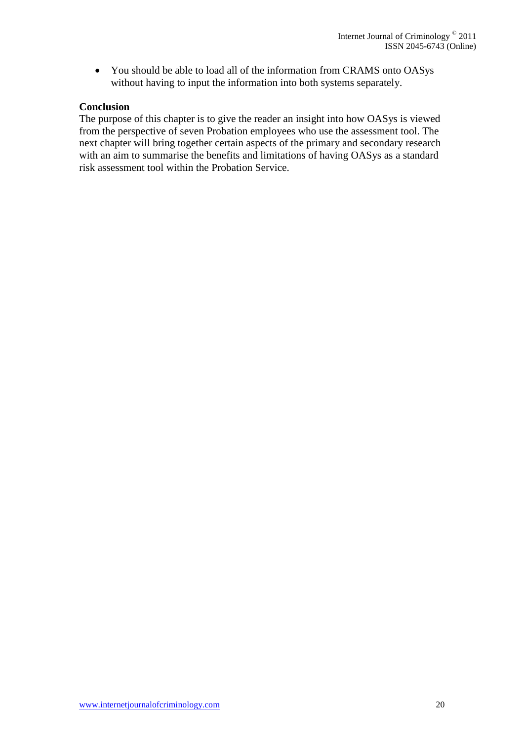You should be able to load all of the information from CRAMS onto OASys without having to input the information into both systems separately.

## **Conclusion**

The purpose of this chapter is to give the reader an insight into how OASys is viewed from the perspective of seven Probation employees who use the assessment tool. The next chapter will bring together certain aspects of the primary and secondary research with an aim to summarise the benefits and limitations of having OASys as a standard risk assessment tool within the Probation Service.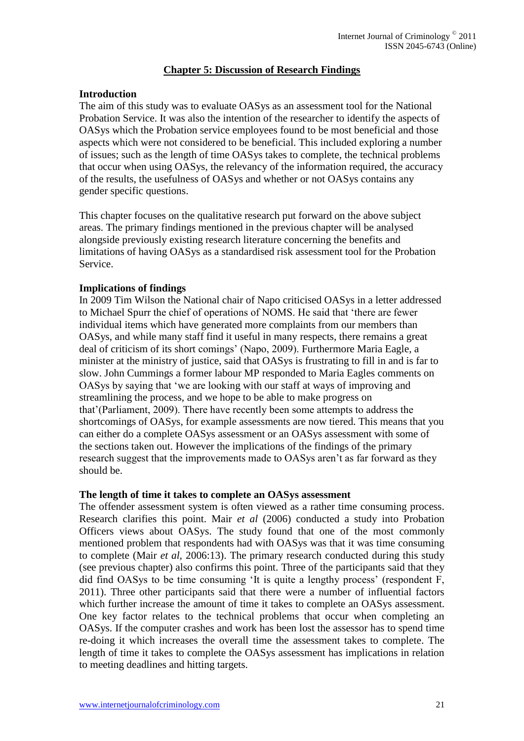## **Chapter 5: Discussion of Research Findings**

## **Introduction**

The aim of this study was to evaluate OASys as an assessment tool for the National Probation Service. It was also the intention of the researcher to identify the aspects of OASys which the Probation service employees found to be most beneficial and those aspects which were not considered to be beneficial. This included exploring a number of issues; such as the length of time OASys takes to complete, the technical problems that occur when using OASys, the relevancy of the information required, the accuracy of the results, the usefulness of OASys and whether or not OASys contains any gender specific questions.

This chapter focuses on the qualitative research put forward on the above subject areas. The primary findings mentioned in the previous chapter will be analysed alongside previously existing research literature concerning the benefits and limitations of having OASys as a standardised risk assessment tool for the Probation Service.

## **Implications of findings**

In 2009 Tim Wilson the National chair of Napo criticised OASys in a letter addressed to Michael Spurr the chief of operations of NOMS. He said that 'there are fewer individual items which have generated more complaints from our members than OASys, and while many staff find it useful in many respects, there remains a great deal of criticism of its short comings' (Napo, 2009). Furthermore Maria Eagle, a minister at the ministry of justice, said that OASys is frustrating to fill in and is far to slow. John Cummings a former labour MP responded to Maria Eagles comments on OASys by saying that 'we are looking with our staff at ways of improving and streamlining the process, and we hope to be able to make progress on that'(Parliament, 2009). There have recently been some attempts to address the shortcomings of OASys, for example assessments are now tiered. This means that you can either do a complete OASys assessment or an OASys assessment with some of the sections taken out. However the implications of the findings of the primary research suggest that the improvements made to OASys aren't as far forward as they should be.

#### **The length of time it takes to complete an OASys assessment**

The offender assessment system is often viewed as a rather time consuming process. Research clarifies this point. Mair *et al* (2006) conducted a study into Probation Officers views about OASys. The study found that one of the most commonly mentioned problem that respondents had with OASys was that it was time consuming to complete (Mair *et al,* 2006:13). The primary research conducted during this study (see previous chapter) also confirms this point. Three of the participants said that they did find OASys to be time consuming 'It is quite a lengthy process' (respondent F, 2011). Three other participants said that there were a number of influential factors which further increase the amount of time it takes to complete an OASys assessment. One key factor relates to the technical problems that occur when completing an OASys. If the computer crashes and work has been lost the assessor has to spend time re-doing it which increases the overall time the assessment takes to complete. The length of time it takes to complete the OASys assessment has implications in relation to meeting deadlines and hitting targets.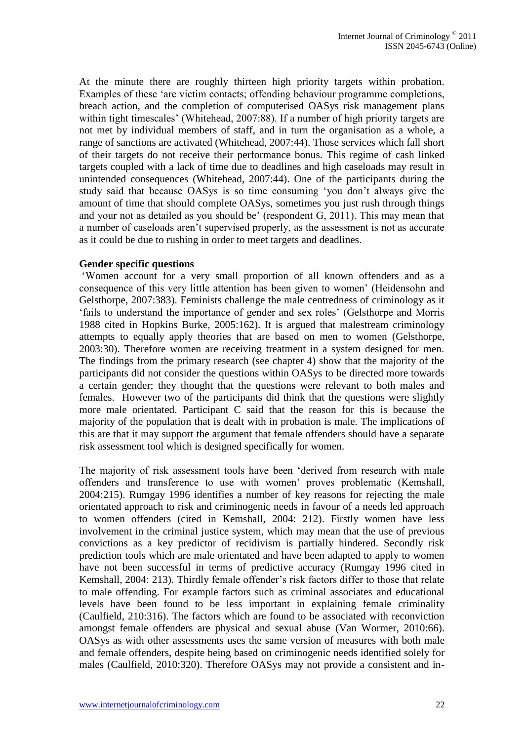At the minute there are roughly thirteen high priority targets within probation. Examples of these 'are victim contacts; offending behaviour programme completions, breach action, and the completion of computerised OASys risk management plans within tight timescales' (Whitehead, 2007:88). If a number of high priority targets are not met by individual members of staff, and in turn the organisation as a whole, a range of sanctions are activated (Whitehead, 2007:44). Those services which fall short of their targets do not receive their performance bonus. This regime of cash linked targets coupled with a lack of time due to deadlines and high caseloads may result in unintended consequences (Whitehead, 2007:44). One of the participants during the study said that because OASys is so time consuming 'you don't always give the amount of time that should complete OASys, sometimes you just rush through things and your not as detailed as you should be' (respondent G, 2011). This may mean that a number of caseloads aren't supervised properly, as the assessment is not as accurate as it could be due to rushing in order to meet targets and deadlines.

#### **Gender specific questions**

'Women account for a very small proportion of all known offenders and as a consequence of this very little attention has been given to women' (Heidensohn and Gelsthorpe, 2007:383). Feminists challenge the male centredness of criminology as it 'fails to understand the importance of gender and sex roles' (Gelsthorpe and Morris 1988 cited in Hopkins Burke, 2005:162). It is argued that malestream criminology attempts to equally apply theories that are based on men to women (Gelsthorpe, 2003:30). Therefore women are receiving treatment in a system designed for men. The findings from the primary research (see chapter 4) show that the majority of the participants did not consider the questions within OASys to be directed more towards a certain gender; they thought that the questions were relevant to both males and females. However two of the participants did think that the questions were slightly more male orientated. Participant C said that the reason for this is because the majority of the population that is dealt with in probation is male. The implications of this are that it may support the argument that female offenders should have a separate risk assessment tool which is designed specifically for women.

The majority of risk assessment tools have been 'derived from research with male offenders and transference to use with women' proves problematic (Kemshall, 2004:215). Rumgay 1996 identifies a number of key reasons for rejecting the male orientated approach to risk and criminogenic needs in favour of a needs led approach to women offenders (cited in Kemshall, 2004: 212). Firstly women have less involvement in the criminal justice system, which may mean that the use of previous convictions as a key predictor of recidivism is partially hindered. Secondly risk prediction tools which are male orientated and have been adapted to apply to women have not been successful in terms of predictive accuracy (Rumgay 1996 cited in Kemshall, 2004: 213). Thirdly female offender's risk factors differ to those that relate to male offending. For example factors such as criminal associates and educational levels have been found to be less important in explaining female criminality (Caulfield, 210:316). The factors which are found to be associated with reconviction amongst female offenders are physical and sexual abuse (Van Wormer, 2010:66). OASys as with other assessments uses the same version of measures with both male and female offenders, despite being based on criminogenic needs identified solely for males (Caulfield, 2010:320). Therefore OASys may not provide a consistent and in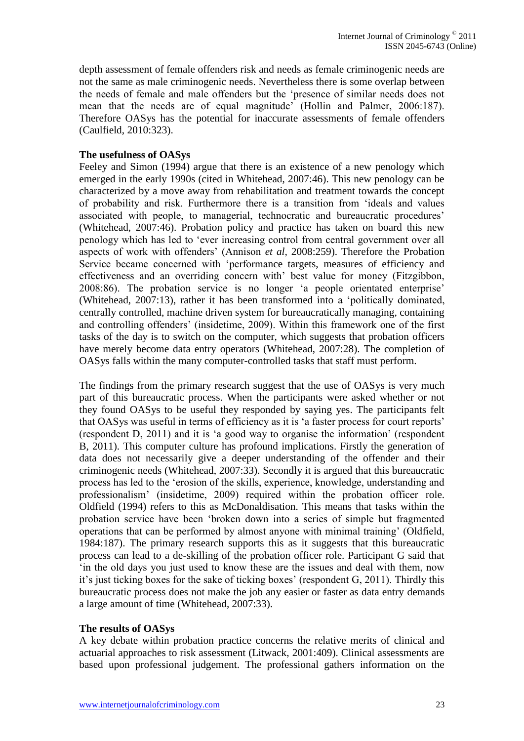depth assessment of female offenders risk and needs as female criminogenic needs are not the same as male criminogenic needs. Nevertheless there is some overlap between the needs of female and male offenders but the 'presence of similar needs does not mean that the needs are of equal magnitude' (Hollin and Palmer, 2006:187). Therefore OASys has the potential for inaccurate assessments of female offenders (Caulfield, 2010:323).

## **The usefulness of OASys**

Feeley and Simon (1994) argue that there is an existence of a new penology which emerged in the early 1990s (cited in Whitehead, 2007:46). This new penology can be characterized by a move away from rehabilitation and treatment towards the concept of probability and risk. Furthermore there is a transition from 'ideals and values associated with people, to managerial, technocratic and bureaucratic procedures' (Whitehead, 2007:46). Probation policy and practice has taken on board this new penology which has led to 'ever increasing control from central government over all aspects of work with offenders' (Annison *et al,* 2008:259). Therefore the Probation Service became concerned with 'performance targets, measures of efficiency and effectiveness and an overriding concern with' best value for money (Fitzgibbon, 2008:86). The probation service is no longer 'a people orientated enterprise' (Whitehead, 2007:13), rather it has been transformed into a 'politically dominated, centrally controlled, machine driven system for bureaucratically managing, containing and controlling offenders' (insidetime, 2009). Within this framework one of the first tasks of the day is to switch on the computer, which suggests that probation officers have merely become data entry operators (Whitehead, 2007:28). The completion of OASys falls within the many computer-controlled tasks that staff must perform.

The findings from the primary research suggest that the use of OASys is very much part of this bureaucratic process. When the participants were asked whether or not they found OASys to be useful they responded by saying yes. The participants felt that OASys was useful in terms of efficiency as it is 'a faster process for court reports' (respondent D, 2011) and it is 'a good way to organise the information' (respondent B, 2011). This computer culture has profound implications. Firstly the generation of data does not necessarily give a deeper understanding of the offender and their criminogenic needs (Whitehead, 2007:33). Secondly it is argued that this bureaucratic process has led to the 'erosion of the skills, experience, knowledge, understanding and professionalism' (insidetime, 2009) required within the probation officer role. Oldfield (1994) refers to this as McDonaldisation. This means that tasks within the probation service have been 'broken down into a series of simple but fragmented operations that can be performed by almost anyone with minimal training' (Oldfield, 1984:187). The primary research supports this as it suggests that this bureaucratic process can lead to a de-skilling of the probation officer role. Participant G said that 'in the old days you just used to know these are the issues and deal with them, now it's just ticking boxes for the sake of ticking boxes' (respondent G, 2011). Thirdly this bureaucratic process does not make the job any easier or faster as data entry demands a large amount of time (Whitehead, 2007:33).

# **The results of OASys**

A key debate within probation practice concerns the relative merits of clinical and actuarial approaches to risk assessment (Litwack, 2001:409). Clinical assessments are based upon professional judgement. The professional gathers information on the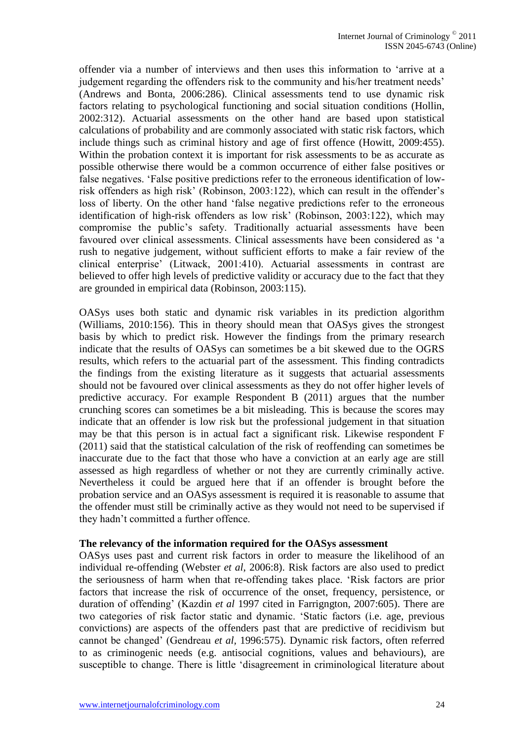offender via a number of interviews and then uses this information to 'arrive at a judgement regarding the offenders risk to the community and his/her treatment needs' (Andrews and Bonta, 2006:286). Clinical assessments tend to use dynamic risk factors relating to psychological functioning and social situation conditions (Hollin, 2002:312). Actuarial assessments on the other hand are based upon statistical calculations of probability and are commonly associated with static risk factors, which include things such as criminal history and age of first offence (Howitt, 2009:455). Within the probation context it is important for risk assessments to be as accurate as possible otherwise there would be a common occurrence of either false positives or false negatives. 'False positive predictions refer to the erroneous identification of lowrisk offenders as high risk' (Robinson, 2003:122), which can result in the offender's loss of liberty. On the other hand 'false negative predictions refer to the erroneous identification of high-risk offenders as low risk' (Robinson, 2003:122), which may compromise the public's safety. Traditionally actuarial assessments have been favoured over clinical assessments. Clinical assessments have been considered as 'a rush to negative judgement, without sufficient efforts to make a fair review of the clinical enterprise' (Litwack, 2001:410). Actuarial assessments in contrast are believed to offer high levels of predictive validity or accuracy due to the fact that they are grounded in empirical data (Robinson, 2003:115).

OASys uses both static and dynamic risk variables in its prediction algorithm (Williams, 2010:156). This in theory should mean that OASys gives the strongest basis by which to predict risk. However the findings from the primary research indicate that the results of OASys can sometimes be a bit skewed due to the OGRS results, which refers to the actuarial part of the assessment. This finding contradicts the findings from the existing literature as it suggests that actuarial assessments should not be favoured over clinical assessments as they do not offer higher levels of predictive accuracy. For example Respondent B (2011) argues that the number crunching scores can sometimes be a bit misleading. This is because the scores may indicate that an offender is low risk but the professional judgement in that situation may be that this person is in actual fact a significant risk. Likewise respondent F (2011) said that the statistical calculation of the risk of reoffending can sometimes be inaccurate due to the fact that those who have a conviction at an early age are still assessed as high regardless of whether or not they are currently criminally active. Nevertheless it could be argued here that if an offender is brought before the probation service and an OASys assessment is required it is reasonable to assume that the offender must still be criminally active as they would not need to be supervised if they hadn't committed a further offence.

#### **The relevancy of the information required for the OASys assessment**

OASys uses past and current risk factors in order to measure the likelihood of an individual re-offending (Webster *et al*, 2006:8). Risk factors are also used to predict the seriousness of harm when that re-offending takes place. 'Risk factors are prior factors that increase the risk of occurrence of the onset, frequency, persistence, or duration of offending' (Kazdin *et al* 1997 cited in Farrigngton, 2007:605). There are two categories of risk factor static and dynamic. 'Static factors (i.e. age, previous convictions) are aspects of the offenders past that are predictive of recidivism but cannot be changed' (Gendreau *et al,* 1996:575). Dynamic risk factors, often referred to as criminogenic needs (e.g. antisocial cognitions, values and behaviours), are susceptible to change. There is little 'disagreement in criminological literature about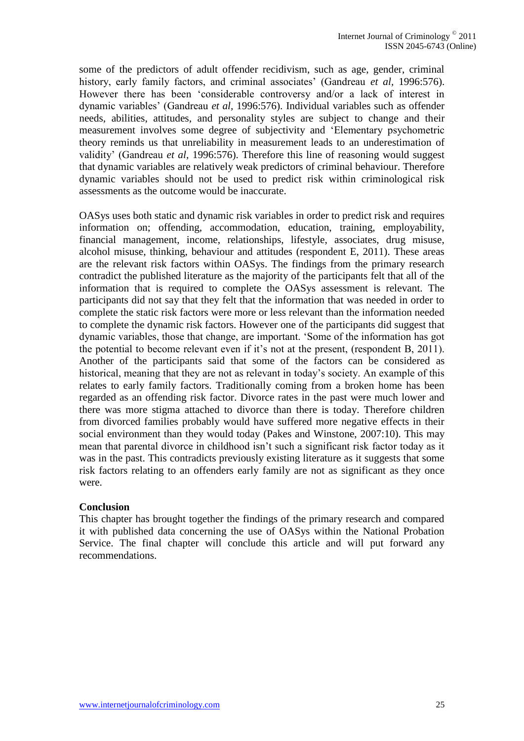some of the predictors of adult offender recidivism, such as age, gender, criminal history, early family factors, and criminal associates' (Gandreau *et al,* 1996:576). However there has been 'considerable controversy and/or a lack of interest in dynamic variables' (Gandreau *et al,* 1996:576). Individual variables such as offender needs, abilities, attitudes, and personality styles are subject to change and their measurement involves some degree of subjectivity and 'Elementary psychometric theory reminds us that unreliability in measurement leads to an underestimation of validity' (Gandreau *et al,* 1996:576). Therefore this line of reasoning would suggest that dynamic variables are relatively weak predictors of criminal behaviour. Therefore dynamic variables should not be used to predict risk within criminological risk assessments as the outcome would be inaccurate.

OASys uses both static and dynamic risk variables in order to predict risk and requires information on; offending, accommodation, education, training, employability, financial management, income, relationships, lifestyle, associates, drug misuse, alcohol misuse, thinking, behaviour and attitudes (respondent E, 2011). These areas are the relevant risk factors within OASys. The findings from the primary research contradict the published literature as the majority of the participants felt that all of the information that is required to complete the OASys assessment is relevant. The participants did not say that they felt that the information that was needed in order to complete the static risk factors were more or less relevant than the information needed to complete the dynamic risk factors. However one of the participants did suggest that dynamic variables, those that change, are important. 'Some of the information has got the potential to become relevant even if it's not at the present, (respondent B, 2011). Another of the participants said that some of the factors can be considered as historical, meaning that they are not as relevant in today's society. An example of this relates to early family factors. Traditionally coming from a broken home has been regarded as an offending risk factor. Divorce rates in the past were much lower and there was more stigma attached to divorce than there is today. Therefore children from divorced families probably would have suffered more negative effects in their social environment than they would today (Pakes and Winstone, 2007:10). This may mean that parental divorce in childhood isn't such a significant risk factor today as it was in the past. This contradicts previously existing literature as it suggests that some risk factors relating to an offenders early family are not as significant as they once were.

#### **Conclusion**

This chapter has brought together the findings of the primary research and compared it with published data concerning the use of OASys within the National Probation Service. The final chapter will conclude this article and will put forward any recommendations.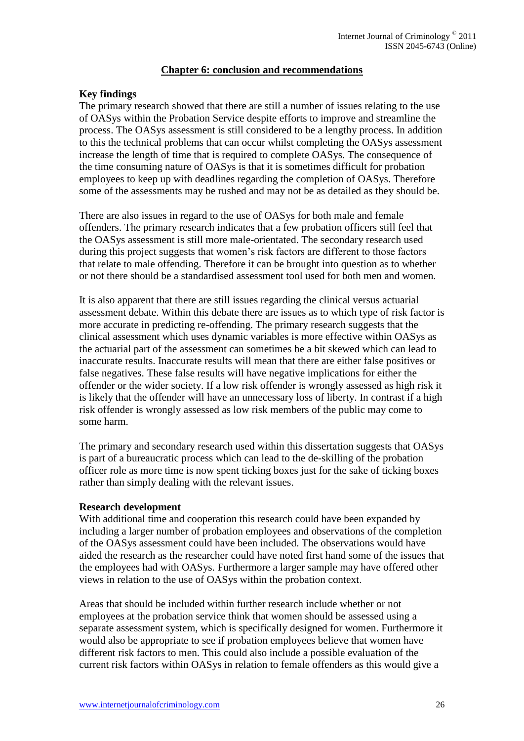#### **Chapter 6: conclusion and recommendations**

#### **Key findings**

The primary research showed that there are still a number of issues relating to the use of OASys within the Probation Service despite efforts to improve and streamline the process. The OASys assessment is still considered to be a lengthy process. In addition to this the technical problems that can occur whilst completing the OASys assessment increase the length of time that is required to complete OASys. The consequence of the time consuming nature of OASys is that it is sometimes difficult for probation employees to keep up with deadlines regarding the completion of OASys. Therefore some of the assessments may be rushed and may not be as detailed as they should be.

There are also issues in regard to the use of OASys for both male and female offenders. The primary research indicates that a few probation officers still feel that the OASys assessment is still more male-orientated. The secondary research used during this project suggests that women's risk factors are different to those factors that relate to male offending. Therefore it can be brought into question as to whether or not there should be a standardised assessment tool used for both men and women.

It is also apparent that there are still issues regarding the clinical versus actuarial assessment debate. Within this debate there are issues as to which type of risk factor is more accurate in predicting re-offending. The primary research suggests that the clinical assessment which uses dynamic variables is more effective within OASys as the actuarial part of the assessment can sometimes be a bit skewed which can lead to inaccurate results. Inaccurate results will mean that there are either false positives or false negatives. These false results will have negative implications for either the offender or the wider society. If a low risk offender is wrongly assessed as high risk it is likely that the offender will have an unnecessary loss of liberty. In contrast if a high risk offender is wrongly assessed as low risk members of the public may come to some harm.

The primary and secondary research used within this dissertation suggests that OASys is part of a bureaucratic process which can lead to the de-skilling of the probation officer role as more time is now spent ticking boxes just for the sake of ticking boxes rather than simply dealing with the relevant issues.

#### **Research development**

With additional time and cooperation this research could have been expanded by including a larger number of probation employees and observations of the completion of the OASys assessment could have been included. The observations would have aided the research as the researcher could have noted first hand some of the issues that the employees had with OASys. Furthermore a larger sample may have offered other views in relation to the use of OASys within the probation context.

Areas that should be included within further research include whether or not employees at the probation service think that women should be assessed using a separate assessment system, which is specifically designed for women. Furthermore it would also be appropriate to see if probation employees believe that women have different risk factors to men. This could also include a possible evaluation of the current risk factors within OASys in relation to female offenders as this would give a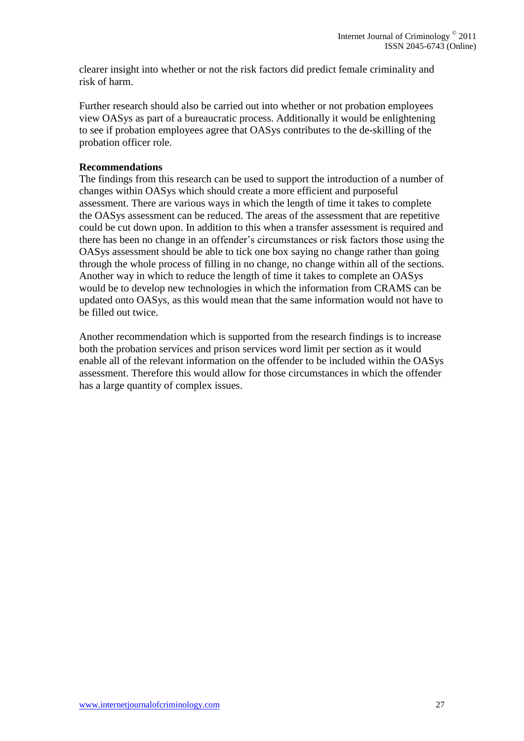clearer insight into whether or not the risk factors did predict female criminality and risk of harm.

Further research should also be carried out into whether or not probation employees view OASys as part of a bureaucratic process. Additionally it would be enlightening to see if probation employees agree that OASys contributes to the de-skilling of the probation officer role.

## **Recommendations**

The findings from this research can be used to support the introduction of a number of changes within OASys which should create a more efficient and purposeful assessment. There are various ways in which the length of time it takes to complete the OASys assessment can be reduced. The areas of the assessment that are repetitive could be cut down upon. In addition to this when a transfer assessment is required and there has been no change in an offender's circumstances or risk factors those using the OASys assessment should be able to tick one box saying no change rather than going through the whole process of filling in no change, no change within all of the sections. Another way in which to reduce the length of time it takes to complete an OASys would be to develop new technologies in which the information from CRAMS can be updated onto OASys, as this would mean that the same information would not have to be filled out twice.

Another recommendation which is supported from the research findings is to increase both the probation services and prison services word limit per section as it would enable all of the relevant information on the offender to be included within the OASys assessment. Therefore this would allow for those circumstances in which the offender has a large quantity of complex issues.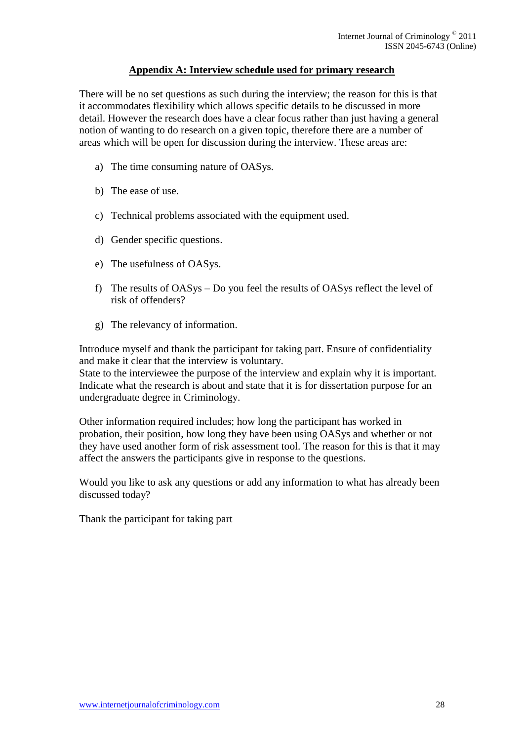## **Appendix A: Interview schedule used for primary research**

There will be no set questions as such during the interview; the reason for this is that it accommodates flexibility which allows specific details to be discussed in more detail. However the research does have a clear focus rather than just having a general notion of wanting to do research on a given topic, therefore there are a number of areas which will be open for discussion during the interview. These areas are:

- a) The time consuming nature of OASys.
- b) The ease of use.
- c) Technical problems associated with the equipment used.
- d) Gender specific questions.
- e) The usefulness of OASys.
- f) The results of OASys Do you feel the results of OASys reflect the level of risk of offenders?
- g) The relevancy of information.

Introduce myself and thank the participant for taking part. Ensure of confidentiality and make it clear that the interview is voluntary.

State to the interviewee the purpose of the interview and explain why it is important. Indicate what the research is about and state that it is for dissertation purpose for an undergraduate degree in Criminology.

Other information required includes; how long the participant has worked in probation, their position, how long they have been using OASys and whether or not they have used another form of risk assessment tool. The reason for this is that it may affect the answers the participants give in response to the questions.

Would you like to ask any questions or add any information to what has already been discussed today?

Thank the participant for taking part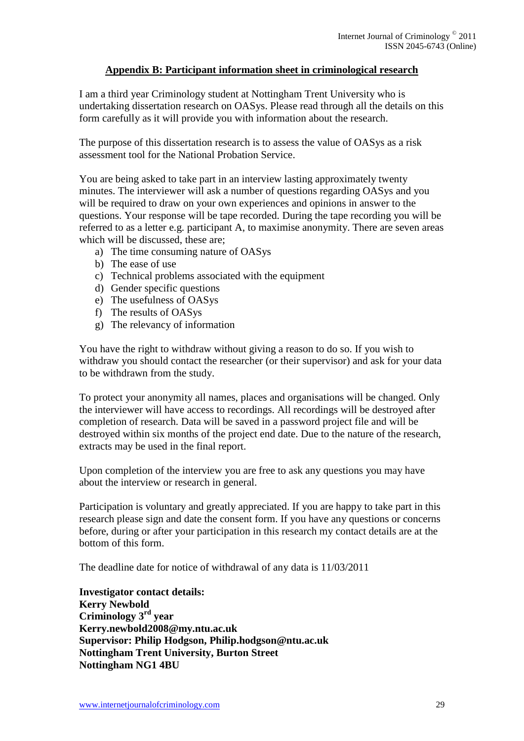# **Appendix B: Participant information sheet in criminological research**

I am a third year Criminology student at Nottingham Trent University who is undertaking dissertation research on OASys. Please read through all the details on this form carefully as it will provide you with information about the research.

The purpose of this dissertation research is to assess the value of OASys as a risk assessment tool for the National Probation Service.

You are being asked to take part in an interview lasting approximately twenty minutes. The interviewer will ask a number of questions regarding OASys and you will be required to draw on your own experiences and opinions in answer to the questions. Your response will be tape recorded. During the tape recording you will be referred to as a letter e.g. participant A, to maximise anonymity. There are seven areas which will be discussed, these are;

- a) The time consuming nature of OASys
- b) The ease of use
- c) Technical problems associated with the equipment
- d) Gender specific questions
- e) The usefulness of OASys
- f) The results of OASys
- g) The relevancy of information

You have the right to withdraw without giving a reason to do so. If you wish to withdraw you should contact the researcher (or their supervisor) and ask for your data to be withdrawn from the study.

To protect your anonymity all names, places and organisations will be changed. Only the interviewer will have access to recordings. All recordings will be destroyed after completion of research. Data will be saved in a password project file and will be destroyed within six months of the project end date. Due to the nature of the research, extracts may be used in the final report.

Upon completion of the interview you are free to ask any questions you may have about the interview or research in general.

Participation is voluntary and greatly appreciated. If you are happy to take part in this research please sign and date the consent form. If you have any questions or concerns before, during or after your participation in this research my contact details are at the bottom of this form.

The deadline date for notice of withdrawal of any data is 11/03/2011

**Investigator contact details: Kerry Newbold Criminology 3rd year Kerry.newbold2008@my.ntu.ac.uk Supervisor: Philip Hodgson, Philip.hodgson@ntu.ac.uk Nottingham Trent University, Burton Street Nottingham NG1 4BU**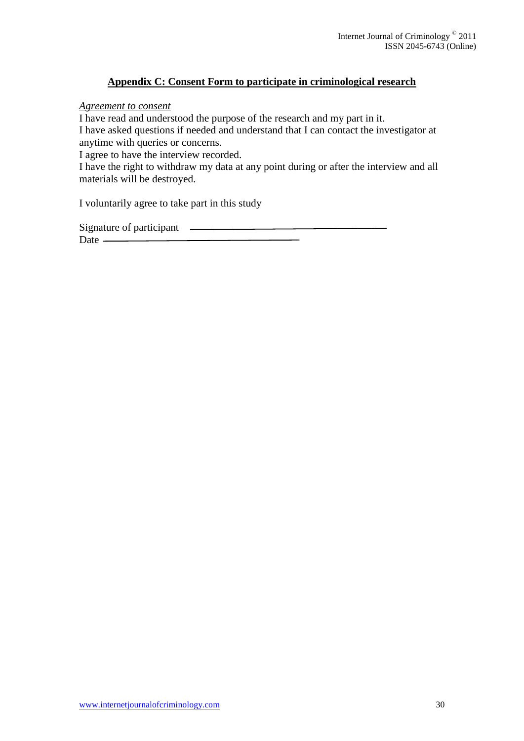# **Appendix C: Consent Form to participate in criminological research**

*Agreement to consent* 

I have read and understood the purpose of the research and my part in it. I have asked questions if needed and understand that I can contact the investigator at anytime with queries or concerns.

I agree to have the interview recorded.

I have the right to withdraw my data at any point during or after the interview and all materials will be destroyed.

I voluntarily agree to take part in this study

Signature of participant Date -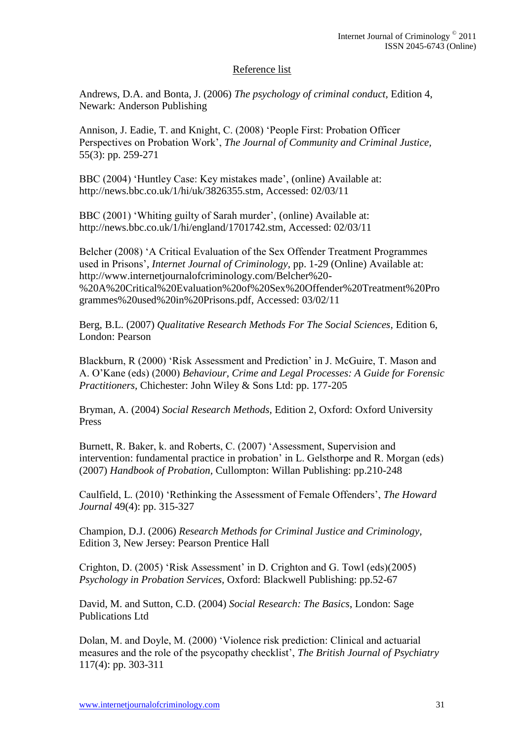## Reference list

Andrews, D.A. and Bonta, J. (2006) *The psychology of criminal conduct,* Edition 4, Newark: Anderson Publishing

Annison, J. Eadie, T. and Knight, C. (2008) 'People First: Probation Officer Perspectives on Probation Work', *The Journal of Community and Criminal Justice,*  55(3): pp. 259-271

BBC (2004) 'Huntley Case: Key mistakes made', (online) Available at: http://news.bbc.co.uk/1/hi/uk/3826355.stm, Accessed: 02/03/11

BBC (2001) 'Whiting guilty of Sarah murder', (online) Available at: http://news.bbc.co.uk/1/hi/england/1701742.stm, Accessed: 02/03/11

Belcher (2008) 'A Critical Evaluation of the Sex Offender Treatment Programmes used in Prisons', *Internet Journal of Criminology,* pp. 1-29 (Online) Available at: http://www.internetjournalofcriminology.com/Belcher%20- %20A%20Critical%20Evaluation%20of%20Sex%20Offender%20Treatment%20Pro grammes%20used%20in%20Prisons.pdf, Accessed: 03/02/11

Berg, B.L. (2007) *Qualitative Research Methods For The Social Sciences,* Edition 6, London: Pearson

Blackburn, R (2000) 'Risk Assessment and Prediction' in J. McGuire, T. Mason and A. O'Kane (eds) (2000) *Behaviour, Crime and Legal Processes: A Guide for Forensic Practitioners,* Chichester: John Wiley & Sons Ltd: pp. 177-205

Bryman, A. (2004) *Social Research Methods,* Edition 2, Oxford: Oxford University Press

Burnett, R. Baker, k. and Roberts, C. (2007) 'Assessment, Supervision and intervention: fundamental practice in probation' in L. Gelsthorpe and R. Morgan (eds) (2007) *Handbook of Probation,* Cullompton: Willan Publishing: pp.210-248

Caulfield, L. (2010) 'Rethinking the Assessment of Female Offenders', *The Howard Journal* 49(4): pp. 315-327

Champion, D.J. (2006) *Research Methods for Criminal Justice and Criminology,*  Edition 3, New Jersey: Pearson Prentice Hall

Crighton, D. (2005) 'Risk Assessment' in D. Crighton and G. Towl (eds)(2005) *Psychology in Probation Services,* Oxford: Blackwell Publishing: pp.52-67

David, M. and Sutton, C.D. (2004) *Social Research: The Basics*, London: Sage Publications Ltd

Dolan, M. and Doyle, M. (2000) 'Violence risk prediction: Clinical and actuarial measures and the role of the psycopathy checklist', *The British Journal of Psychiatry*  117(4): pp. 303-311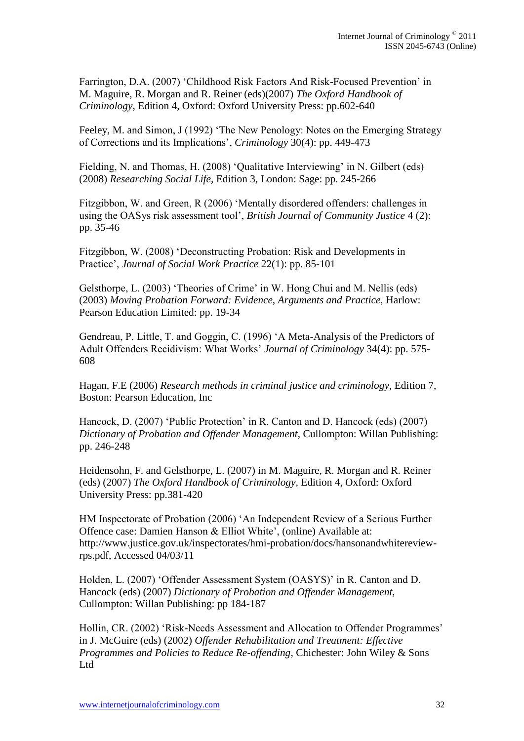Farrington, D.A. (2007) 'Childhood Risk Factors And Risk-Focused Prevention' in M. Maguire, R. Morgan and R. Reiner (eds)(2007) *The Oxford Handbook of Criminology*, Edition 4, Oxford: Oxford University Press: pp.602-640

Feeley, M. and Simon, J (1992) 'The New Penology: Notes on the Emerging Strategy of Corrections and its Implications', *Criminology* 30(4): pp. 449-473

Fielding, N. and Thomas, H. (2008) 'Qualitative Interviewing' in N. Gilbert (eds) (2008) *Researching Social Life,* Edition 3, London: Sage: pp. 245-266

Fitzgibbon, W. and Green, R (2006) 'Mentally disordered offenders: challenges in using the OASys risk assessment tool', *British Journal of Community Justice* 4 (2): pp. 35-46

Fitzgibbon, W. (2008) 'Deconstructing Probation: Risk and Developments in Practice', *Journal of Social Work Practice* 22(1): pp. 85-101

Gelsthorpe, L. (2003) 'Theories of Crime' in W. Hong Chui and M. Nellis (eds) (2003) *Moving Probation Forward: Evidence, Arguments and Practice,* Harlow: Pearson Education Limited: pp. 19-34

Gendreau, P. Little, T. and Goggin, C. (1996) 'A Meta-Analysis of the Predictors of Adult Offenders Recidivism: What Works' *Journal of Criminology* 34(4): pp. 575- 608

Hagan, F.E (2006) *Research methods in criminal justice and criminology,* Edition 7, Boston: Pearson Education, Inc

Hancock, D. (2007) 'Public Protection' in R. Canton and D. Hancock (eds) (2007) *Dictionary of Probation and Offender Management,* Cullompton: Willan Publishing: pp. 246-248

Heidensohn, F. and Gelsthorpe, L. (2007) in M. Maguire, R. Morgan and R. Reiner (eds) (2007) *The Oxford Handbook of Criminology,* Edition 4, Oxford: Oxford University Press: pp.381-420

HM Inspectorate of Probation (2006) 'An Independent Review of a Serious Further Offence case: Damien Hanson & Elliot White', (online) Available at: http://www.justice.gov.uk/inspectorates/hmi-probation/docs/hansonandwhitereviewrps.pdf, Accessed 04/03/11

Holden, L. (2007) 'Offender Assessment System (OASYS)' in R. Canton and D. Hancock (eds) (2007) *Dictionary of Probation and Offender Management,*  Cullompton: Willan Publishing: pp 184-187

Hollin, CR. (2002) 'Risk-Needs Assessment and Allocation to Offender Programmes' in J. McGuire (eds) (2002) *Offender Rehabilitation and Treatment: Effective Programmes and Policies to Reduce Re-offending,* Chichester: John Wiley & Sons Ltd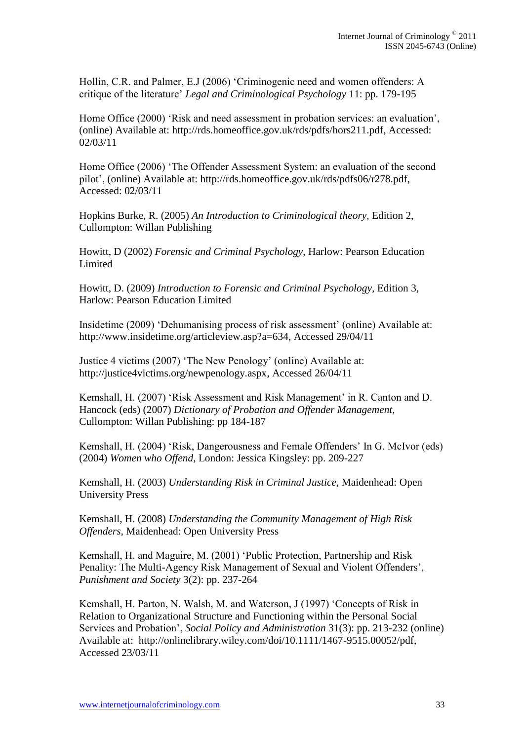Hollin, C.R. and Palmer, E.J (2006) 'Criminogenic need and women offenders: A critique of the literature' *Legal and Criminological Psychology* 11: pp. 179-195

Home Office (2000) 'Risk and need assessment in probation services: an evaluation', (online) Available at: http://rds.homeoffice.gov.uk/rds/pdfs/hors211.pdf, Accessed: 02/03/11

Home Office (2006) 'The Offender Assessment System: an evaluation of the second pilot', (online) Available at: http://rds.homeoffice.gov.uk/rds/pdfs06/r278.pdf, Accessed: 02/03/11

Hopkins Burke, R. (2005) *An Introduction to Criminological theory,* Edition 2, Cullompton: Willan Publishing

Howitt, D (2002) *Forensic and Criminal Psychology,* Harlow: Pearson Education Limited

Howitt, D. (2009) *Introduction to Forensic and Criminal Psychology,* Edition 3, Harlow: Pearson Education Limited

Insidetime (2009) 'Dehumanising process of risk assessment' (online) Available at: http://www.insidetime.org/articleview.asp?a=634, Accessed 29/04/11

Justice 4 victims (2007) 'The New Penology' (online) Available at: http://justice4victims.org/newpenology.aspx, Accessed 26/04/11

Kemshall, H. (2007) 'Risk Assessment and Risk Management' in R. Canton and D. Hancock (eds) (2007) *Dictionary of Probation and Offender Management,*  Cullompton: Willan Publishing: pp 184-187

Kemshall, H. (2004) 'Risk, Dangerousness and Female Offenders' In G. McIvor (eds) (2004) *Women who Offend,* London: Jessica Kingsley: pp. 209-227

Kemshall, H. (2003) *Understanding Risk in Criminal Justice,* Maidenhead: Open University Press

Kemshall, H. (2008) *Understanding the Community Management of High Risk Offenders,* Maidenhead: Open University Press

Kemshall, H. and Maguire, M. (2001) 'Public Protection, Partnership and Risk Penality: The Multi-Agency Risk Management of Sexual and Violent Offenders', *Punishment and Society* 3(2): pp. 237-264

Kemshall, H. Parton, N. Walsh, M. and Waterson, J (1997) 'Concepts of Risk in Relation to Organizational Structure and Functioning within the Personal Social Services and Probation', *Social Policy and Administration* 31(3): pp. 213-232 (online) Available at: http://onlinelibrary.wiley.com/doi/10.1111/1467-9515.00052/pdf, Accessed 23/03/11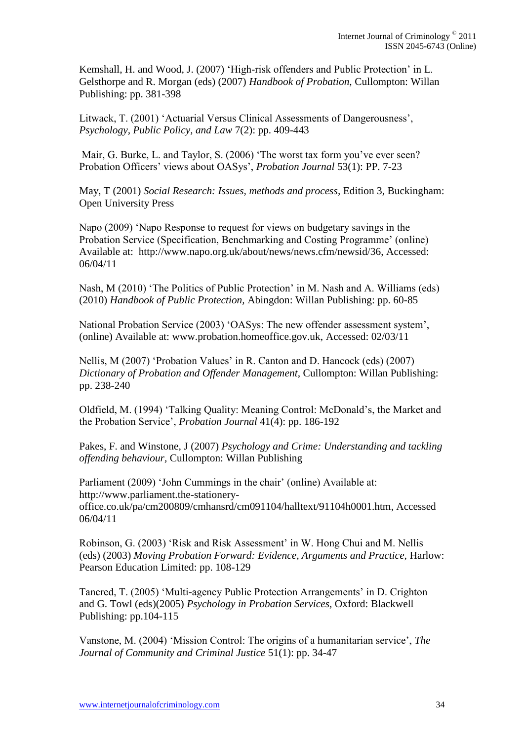Kemshall, H. and Wood, J. (2007) 'High-risk offenders and Public Protection' in L. Gelsthorpe and R. Morgan (eds) (2007) *Handbook of Probation,* Cullompton: Willan Publishing: pp. 381-398

Litwack, T. (2001) 'Actuarial Versus Clinical Assessments of Dangerousness', *Psychology, Public Policy, and Law* 7(2): pp. 409-443

Mair, G. Burke, L. and Taylor, S. (2006) 'The worst tax form you've ever seen? Probation Officers' views about OASys', *Probation Journal* 53(1): PP. 7-23

May, T (2001) *Social Research: Issues, methods and process,* Edition 3, Buckingham: Open University Press

Napo (2009) 'Napo Response to request for views on budgetary savings in the Probation Service (Specification, Benchmarking and Costing Programme' (online) Available at: http://www.napo.org.uk/about/news/news.cfm/newsid/36, Accessed: 06/04/11

Nash, M (2010) 'The Politics of Public Protection' in M. Nash and A. Williams (eds) (2010) *Handbook of Public Protection,* Abingdon: Willan Publishing: pp. 60-85

National Probation Service (2003) 'OASys: The new offender assessment system', (online) Available at: www.probation.homeoffice.gov.uk, Accessed: 02/03/11

Nellis, M (2007) 'Probation Values' in R. Canton and D. Hancock (eds) (2007) *Dictionary of Probation and Offender Management,* Cullompton: Willan Publishing: pp. 238-240

Oldfield, M. (1994) 'Talking Quality: Meaning Control: McDonald's, the Market and the Probation Service', *Probation Journal* 41(4): pp. 186-192

Pakes, F. and Winstone, J (2007) *Psychology and Crime: Understanding and tackling offending behaviour,* Cullompton: Willan Publishing

Parliament (2009) 'John Cummings in the chair' (online) Available at: http://www.parliament.the-stationeryoffice.co.uk/pa/cm200809/cmhansrd/cm091104/halltext/91104h0001.htm, Accessed 06/04/11

Robinson, G. (2003) 'Risk and Risk Assessment' in W. Hong Chui and M. Nellis (eds) (2003) *Moving Probation Forward: Evidence, Arguments and Practice,* Harlow: Pearson Education Limited: pp. 108-129

Tancred, T. (2005) 'Multi-agency Public Protection Arrangements' in D. Crighton and G. Towl (eds)(2005) *Psychology in Probation Services,* Oxford: Blackwell Publishing: pp.104-115

Vanstone, M. (2004) 'Mission Control: The origins of a humanitarian service', *The Journal of Community and Criminal Justice* 51(1): pp. 34-47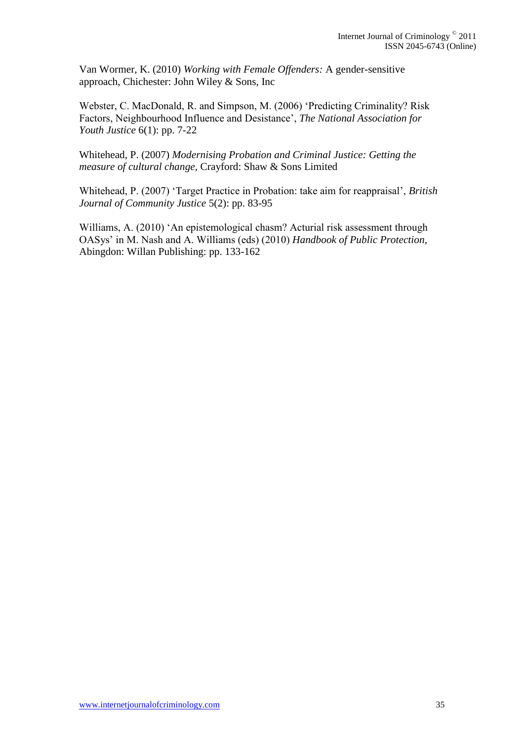Van Wormer, K. (2010) *Working with Female Offenders:* A gender-sensitive approach, Chichester: John Wiley & Sons, Inc

Webster, C. MacDonald, R. and Simpson, M. (2006) 'Predicting Criminality? Risk Factors, Neighbourhood Influence and Desistance', *The National Association for Youth Justice* 6(1): pp. 7-22

Whitehead, P. (2007) *Modernising Probation and Criminal Justice: Getting the measure of cultural change,* Crayford: Shaw & Sons Limited

Whitehead, P. (2007) 'Target Practice in Probation: take aim for reappraisal', *British Journal of Community Justice* 5(2): pp. 83-95

Williams, A. (2010) 'An epistemological chasm? Acturial risk assessment through OASys' in M. Nash and A. Williams (eds) (2010) *Handbook of Public Protection,*  Abingdon: Willan Publishing: pp. 133-162